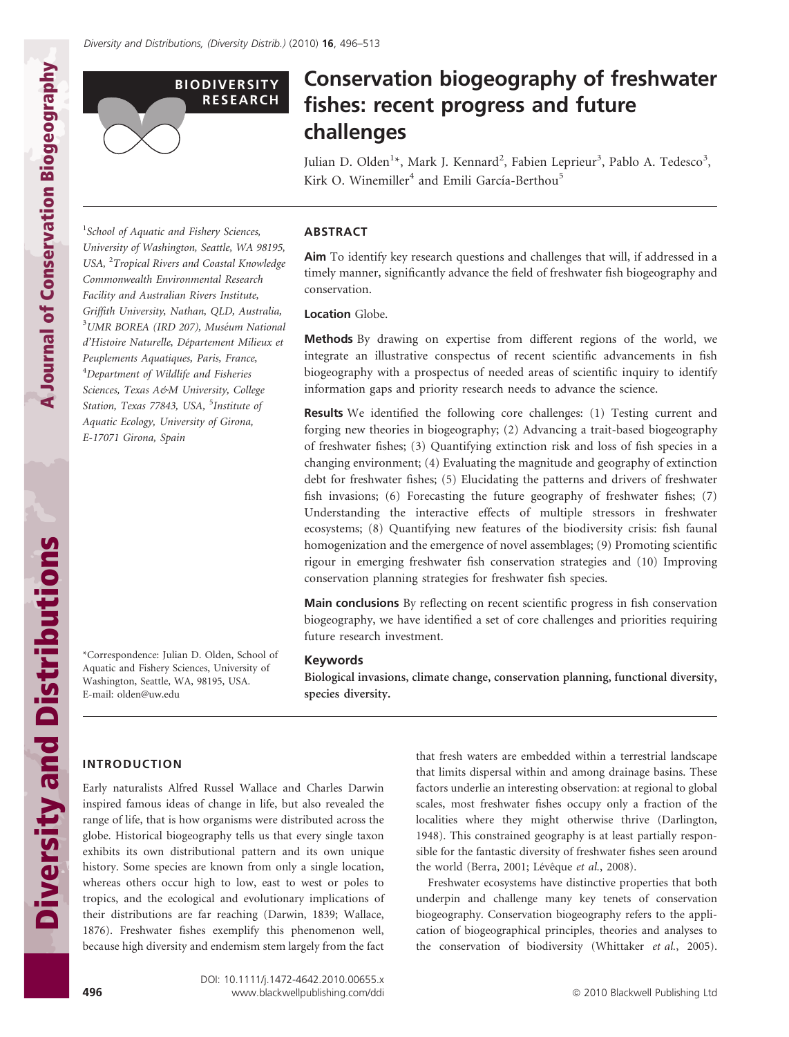

# Conservation biogeography of freshwater fishes: recent progress and future challenges

Julian D. Olden<sup>1</sup>\*, Mark J. Kennard<sup>2</sup>, Fabien Leprieur<sup>3</sup>, Pablo A. Tedesco<sup>3</sup>, Kirk O. Winemiller<sup>4</sup> and Emili García-Berthou<sup>5</sup>

<sup>1</sup>School of Aquatic and Fishery Sciences, University of Washington, Seattle, WA 98195, USA, <sup>2</sup>Tropical Rivers and Coastal Knowledge Commonwealth Environmental Research Facility and Australian Rivers Institute, Griffith University, Nathan, QLD, Australia, <sup>3</sup>UMR BOREA (IRD 207), Muséum National d'Histoire Naturelle, Département Milieux et Peuplements Aquatiques, Paris, France, 4 Department of Wildlife and Fisheries Sciences, Texas A&M University, College Station, Texas 77843, USA, <sup>5</sup>Institute of Aquatic Ecology, University of Girona, E-17071 Girona, Spain

## **ABSTRACT**

Aim To identify key research questions and challenges that will, if addressed in a timely manner, significantly advance the field of freshwater fish biogeography and conservation.

## Location Globe.

Methods By drawing on expertise from different regions of the world, we integrate an illustrative conspectus of recent scientific advancements in fish biogeography with a prospectus of needed areas of scientific inquiry to identify information gaps and priority research needs to advance the science.

Results We identified the following core challenges: (1) Testing current and forging new theories in biogeography; (2) Advancing a trait-based biogeography of freshwater fishes; (3) Quantifying extinction risk and loss of fish species in a changing environment; (4) Evaluating the magnitude and geography of extinction debt for freshwater fishes; (5) Elucidating the patterns and drivers of freshwater fish invasions; (6) Forecasting the future geography of freshwater fishes; (7) Understanding the interactive effects of multiple stressors in freshwater ecosystems; (8) Quantifying new features of the biodiversity crisis: fish faunal homogenization and the emergence of novel assemblages; (9) Promoting scientific rigour in emerging freshwater fish conservation strategies and (10) Improving conservation planning strategies for freshwater fish species.

Main conclusions By reflecting on recent scientific progress in fish conservation biogeography, we have identified a set of core challenges and priorities requiring future research investment.

## Keywords

Biological invasions, climate change, conservation planning, functional diversity, species diversity.

A Journal of Conservation Biogeography

**A Journal of Conservation Biogeography** 

INTRODUCTION

E-mail: olden@uw.edu

\*Correspondence: Julian D. Olden, School of Aquatic and Fishery Sciences, University of Washington, Seattle, WA, 98195, USA.

Early naturalists Alfred Russel Wallace and Charles Darwin inspired famous ideas of change in life, but also revealed the range of life, that is how organisms were distributed across the globe. Historical biogeography tells us that every single taxon exhibits its own distributional pattern and its own unique history. Some species are known from only a single location, whereas others occur high to low, east to west or poles to tropics, and the ecological and evolutionary implications of their distributions are far reaching (Darwin, 1839; Wallace, 1876). Freshwater fishes exemplify this phenomenon well, because high diversity and endemism stem largely from the fact that fresh waters are embedded within a terrestrial landscape that limits dispersal within and among drainage basins. These factors underlie an interesting observation: at regional to global scales, most freshwater fishes occupy only a fraction of the localities where they might otherwise thrive (Darlington, 1948). This constrained geography is at least partially responsible for the fantastic diversity of freshwater fishes seen around the world (Berra, 2001; Lévêque et al., 2008).

Freshwater ecosystems have distinctive properties that both underpin and challenge many key tenets of conservation biogeography. Conservation biogeography refers to the application of biogeographical principles, theories and analyses to the conservation of biodiversity (Whittaker et al., 2005).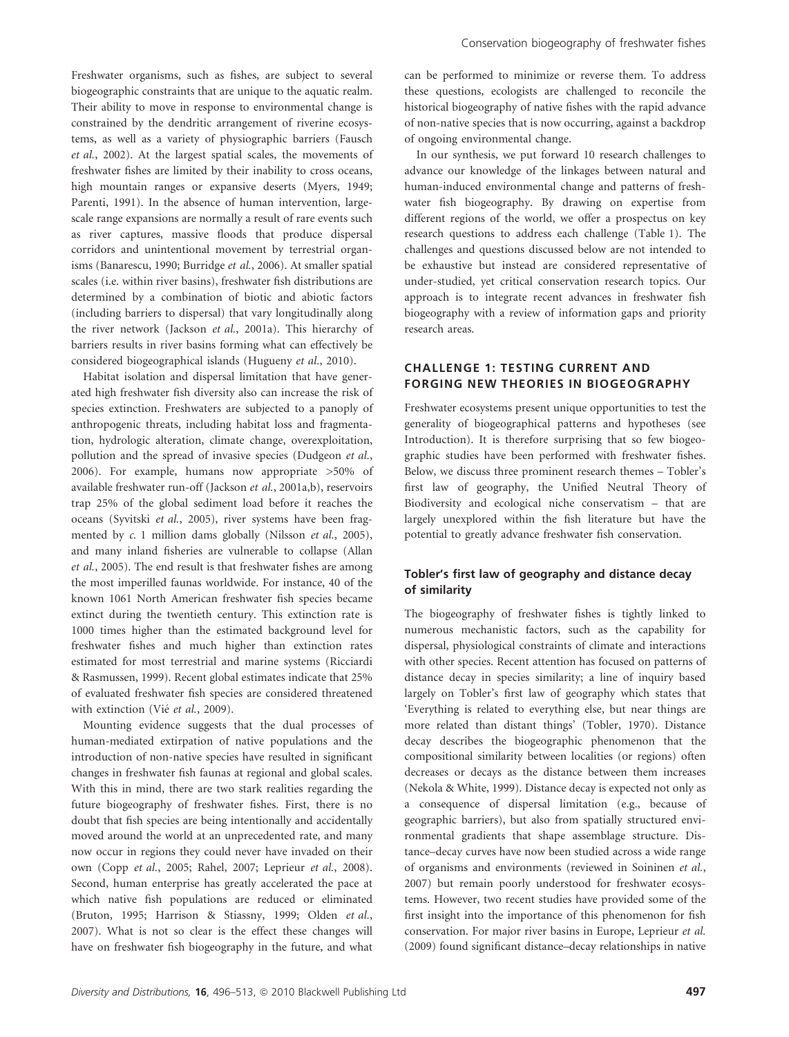Freshwater organisms, such as fishes, are subject to several biogeographic constraints that are unique to the aquatic realm. Their ability to move in response to environmental change is constrained by the dendritic arrangement of riverine ecosystems, as well as a variety of physiographic barriers (Fausch et al., 2002). At the largest spatial scales, the movements of freshwater fishes are limited by their inability to cross oceans, high mountain ranges or expansive deserts (Myers, 1949; Parenti, 1991). In the absence of human intervention, largescale range expansions are normally a result of rare events such as river captures, massive floods that produce dispersal corridors and unintentional movement by terrestrial organisms (Banarescu, 1990; Burridge et al., 2006). At smaller spatial scales (i.e. within river basins), freshwater fish distributions are determined by a combination of biotic and abiotic factors (including barriers to dispersal) that vary longitudinally along the river network (Jackson et al., 2001a). This hierarchy of barriers results in river basins forming what can effectively be considered biogeographical islands (Hugueny et al., 2010).

Habitat isolation and dispersal limitation that have generated high freshwater fish diversity also can increase the risk of species extinction. Freshwaters are subjected to a panoply of anthropogenic threats, including habitat loss and fragmentation, hydrologic alteration, climate change, overexploitation, pollution and the spread of invasive species (Dudgeon et al., 2006). For example, humans now appropriate >50% of available freshwater run-off (Jackson et al., 2001a,b), reservoirs trap 25% of the global sediment load before it reaches the oceans (Syvitski et al., 2005), river systems have been fragmented by c. 1 million dams globally (Nilsson et al., 2005), and many inland fisheries are vulnerable to collapse (Allan et al., 2005). The end result is that freshwater fishes are among the most imperilled faunas worldwide. For instance, 40 of the known 1061 North American freshwater fish species became extinct during the twentieth century. This extinction rate is 1000 times higher than the estimated background level for freshwater fishes and much higher than extinction rates estimated for most terrestrial and marine systems (Ricciardi & Rasmussen, 1999). Recent global estimates indicate that 25% of evaluated freshwater fish species are considered threatened with extinction (Vié et al., 2009).

Mounting evidence suggests that the dual processes of human-mediated extirpation of native populations and the introduction of non-native species have resulted in significant changes in freshwater fish faunas at regional and global scales. With this in mind, there are two stark realities regarding the future biogeography of freshwater fishes. First, there is no doubt that fish species are being intentionally and accidentally moved around the world at an unprecedented rate, and many now occur in regions they could never have invaded on their own (Copp et al., 2005; Rahel, 2007; Leprieur et al., 2008). Second, human enterprise has greatly accelerated the pace at which native fish populations are reduced or eliminated (Bruton, 1995; Harrison & Stiassny, 1999; Olden et al., 2007). What is not so clear is the effect these changes will have on freshwater fish biogeography in the future, and what

can be performed to minimize or reverse them. To address these questions, ecologists are challenged to reconcile the historical biogeography of native fishes with the rapid advance of non-native species that is now occurring, against a backdrop of ongoing environmental change.

In our synthesis, we put forward 10 research challenges to advance our knowledge of the linkages between natural and human-induced environmental change and patterns of freshwater fish biogeography. By drawing on expertise from different regions of the world, we offer a prospectus on key research questions to address each challenge (Table 1). The challenges and questions discussed below are not intended to be exhaustive but instead are considered representative of under-studied, yet critical conservation research topics. Our approach is to integrate recent advances in freshwater fish biogeography with a review of information gaps and priority research areas.

# CHALLENGE 1: TESTING CURRENT AND FORGING NEW THEORIES IN BIOGEOGRAPHY

Freshwater ecosystems present unique opportunities to test the generality of biogeographical patterns and hypotheses (see Introduction). It is therefore surprising that so few biogeographic studies have been performed with freshwater fishes. Below, we discuss three prominent research themes – Tobler's first law of geography, the Unified Neutral Theory of Biodiversity and ecological niche conservatism – that are largely unexplored within the fish literature but have the potential to greatly advance freshwater fish conservation.

# Tobler's first law of geography and distance decay of similarity

The biogeography of freshwater fishes is tightly linked to numerous mechanistic factors, such as the capability for dispersal, physiological constraints of climate and interactions with other species. Recent attention has focused on patterns of distance decay in species similarity; a line of inquiry based largely on Tobler's first law of geography which states that 'Everything is related to everything else, but near things are more related than distant things' (Tobler, 1970). Distance decay describes the biogeographic phenomenon that the compositional similarity between localities (or regions) often decreases or decays as the distance between them increases (Nekola & White, 1999). Distance decay is expected not only as a consequence of dispersal limitation (e.g., because of geographic barriers), but also from spatially structured environmental gradients that shape assemblage structure. Distance–decay curves have now been studied across a wide range of organisms and environments (reviewed in Soininen et al., 2007) but remain poorly understood for freshwater ecosystems. However, two recent studies have provided some of the first insight into the importance of this phenomenon for fish conservation. For major river basins in Europe, Leprieur et al. (2009) found significant distance–decay relationships in native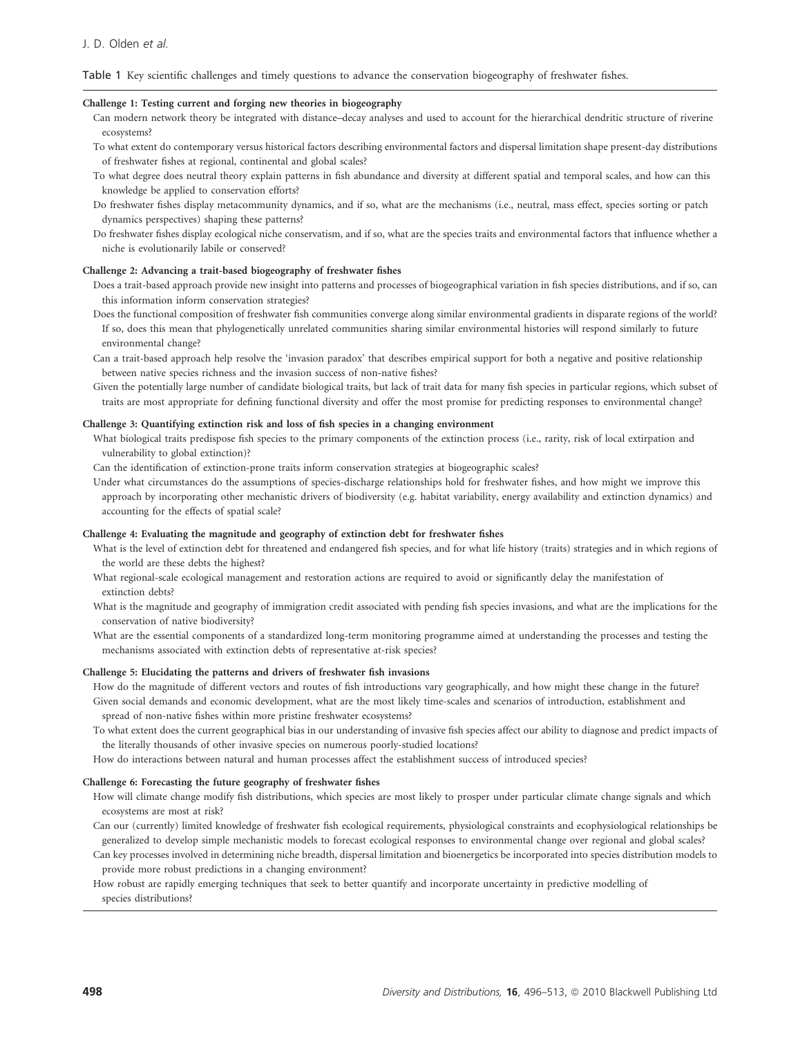### J. D. Olden et al.

#### Table 1 Key scientific challenges and timely questions to advance the conservation biogeography of freshwater fishes.

#### Challenge 1: Testing current and forging new theories in biogeography

- Can modern network theory be integrated with distance–decay analyses and used to account for the hierarchical dendritic structure of riverine ecosystems?
- To what extent do contemporary versus historical factors describing environmental factors and dispersal limitation shape present-day distributions of freshwater fishes at regional, continental and global scales?
- To what degree does neutral theory explain patterns in fish abundance and diversity at different spatial and temporal scales, and how can this knowledge be applied to conservation efforts?
- Do freshwater fishes display metacommunity dynamics, and if so, what are the mechanisms (i.e., neutral, mass effect, species sorting or patch dynamics perspectives) shaping these patterns?
- Do freshwater fishes display ecological niche conservatism, and if so, what are the species traits and environmental factors that influence whether a niche is evolutionarily labile or conserved?

#### Challenge 2: Advancing a trait-based biogeography of freshwater fishes

- Does a trait-based approach provide new insight into patterns and processes of biogeographical variation in fish species distributions, and if so, can this information inform conservation strategies?
- Does the functional composition of freshwater fish communities converge along similar environmental gradients in disparate regions of the world? If so, does this mean that phylogenetically unrelated communities sharing similar environmental histories will respond similarly to future environmental change?
- Can a trait-based approach help resolve the 'invasion paradox' that describes empirical support for both a negative and positive relationship between native species richness and the invasion success of non-native fishes?
- Given the potentially large number of candidate biological traits, but lack of trait data for many fish species in particular regions, which subset of traits are most appropriate for defining functional diversity and offer the most promise for predicting responses to environmental change?

#### Challenge 3: Quantifying extinction risk and loss of fish species in a changing environment

- What biological traits predispose fish species to the primary components of the extinction process (i.e., rarity, risk of local extirpation and vulnerability to global extinction)?
- Can the identification of extinction-prone traits inform conservation strategies at biogeographic scales?
- Under what circumstances do the assumptions of species-discharge relationships hold for freshwater fishes, and how might we improve this approach by incorporating other mechanistic drivers of biodiversity (e.g. habitat variability, energy availability and extinction dynamics) and accounting for the effects of spatial scale?

#### Challenge 4: Evaluating the magnitude and geography of extinction debt for freshwater fishes

- What is the level of extinction debt for threatened and endangered fish species, and for what life history (traits) strategies and in which regions of the world are these debts the highest?
- What regional-scale ecological management and restoration actions are required to avoid or significantly delay the manifestation of extinction debts?
- What is the magnitude and geography of immigration credit associated with pending fish species invasions, and what are the implications for the conservation of native biodiversity?
- What are the essential components of a standardized long-term monitoring programme aimed at understanding the processes and testing the mechanisms associated with extinction debts of representative at-risk species?

## Challenge 5: Elucidating the patterns and drivers of freshwater fish invasions

- How do the magnitude of different vectors and routes of fish introductions vary geographically, and how might these change in the future? Given social demands and economic development, what are the most likely time-scales and scenarios of introduction, establishment and spread of non-native fishes within more pristine freshwater ecosystems?
- To what extent does the current geographical bias in our understanding of invasive fish species affect our ability to diagnose and predict impacts of the literally thousands of other invasive species on numerous poorly-studied locations?

How do interactions between natural and human processes affect the establishment success of introduced species?

#### Challenge 6: Forecasting the future geography of freshwater fishes

- How will climate change modify fish distributions, which species are most likely to prosper under particular climate change signals and which ecosystems are most at risk?
- Can our (currently) limited knowledge of freshwater fish ecological requirements, physiological constraints and ecophysiological relationships be generalized to develop simple mechanistic models to forecast ecological responses to environmental change over regional and global scales?

Can key processes involved in determining niche breadth, dispersal limitation and bioenergetics be incorporated into species distribution models to provide more robust predictions in a changing environment?

How robust are rapidly emerging techniques that seek to better quantify and incorporate uncertainty in predictive modelling of species distributions?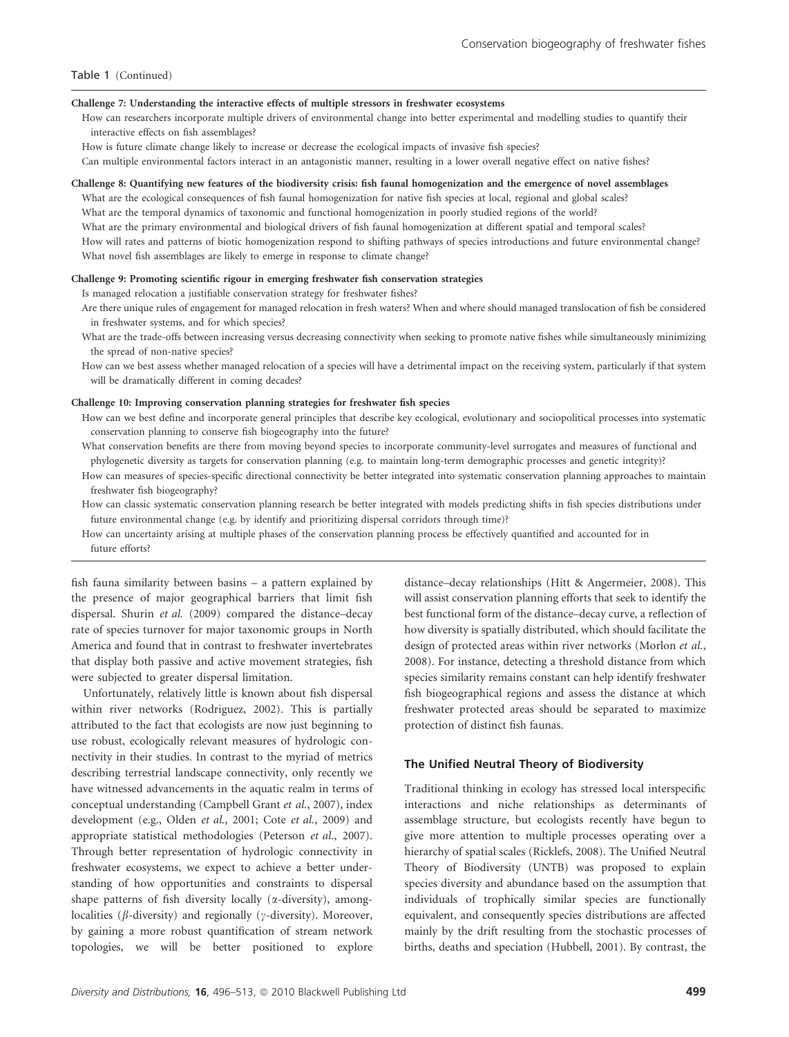## Table 1 (Continued)

#### Challenge 7: Understanding the interactive effects of multiple stressors in freshwater ecosystems

How can researchers incorporate multiple drivers of environmental change into better experimental and modelling studies to quantify their interactive effects on fish assemblages?

How is future climate change likely to increase or decrease the ecological impacts of invasive fish species?

Can multiple environmental factors interact in an antagonistic manner, resulting in a lower overall negative effect on native fishes?

#### Challenge 8: Quantifying new features of the biodiversity crisis: fish faunal homogenization and the emergence of novel assemblages

What are the ecological consequences of fish faunal homogenization for native fish species at local, regional and global scales? What are the temporal dynamics of taxonomic and functional homogenization in poorly studied regions of the world? What are the primary environmental and biological drivers of fish faunal homogenization at different spatial and temporal scales? How will rates and patterns of biotic homogenization respond to shifting pathways of species introductions and future environmental change? What novel fish assemblages are likely to emerge in response to climate change?

#### Challenge 9: Promoting scientific rigour in emerging freshwater fish conservation strategies

Is managed relocation a justifiable conservation strategy for freshwater fishes?

- Are there unique rules of engagement for managed relocation in fresh waters? When and where should managed translocation of fish be considered in freshwater systems, and for which species?
- What are the trade-offs between increasing versus decreasing connectivity when seeking to promote native fishes while simultaneously minimizing the spread of non-native species?
- How can we best assess whether managed relocation of a species will have a detrimental impact on the receiving system, particularly if that system will be dramatically different in coming decades?

#### Challenge 10: Improving conservation planning strategies for freshwater fish species

- How can we best define and incorporate general principles that describe key ecological, evolutionary and sociopolitical processes into systematic conservation planning to conserve fish biogeography into the future?
- What conservation benefits are there from moving beyond species to incorporate community-level surrogates and measures of functional and phylogenetic diversity as targets for conservation planning (e.g. to maintain long-term demographic processes and genetic integrity)?
- How can measures of species-specific directional connectivity be better integrated into systematic conservation planning approaches to maintain freshwater fish biogeography?
- How can classic systematic conservation planning research be better integrated with models predicting shifts in fish species distributions under future environmental change (e.g. by identify and prioritizing dispersal corridors through time)?
- How can uncertainty arising at multiple phases of the conservation planning process be effectively quantified and accounted for in future efforts?

fish fauna similarity between basins – a pattern explained by the presence of major geographical barriers that limit fish dispersal. Shurin et al. (2009) compared the distance–decay rate of species turnover for major taxonomic groups in North America and found that in contrast to freshwater invertebrates that display both passive and active movement strategies, fish were subjected to greater dispersal limitation.

Unfortunately, relatively little is known about fish dispersal within river networks (Rodriguez, 2002). This is partially attributed to the fact that ecologists are now just beginning to use robust, ecologically relevant measures of hydrologic connectivity in their studies. In contrast to the myriad of metrics describing terrestrial landscape connectivity, only recently we have witnessed advancements in the aquatic realm in terms of conceptual understanding (Campbell Grant et al., 2007), index development (e.g., Olden et al., 2001; Cote et al., 2009) and appropriate statistical methodologies (Peterson et al., 2007). Through better representation of hydrologic connectivity in freshwater ecosystems, we expect to achieve a better understanding of how opportunities and constraints to dispersal shape patterns of fish diversity locally ( $\alpha$ -diversity), amonglocalities ( $\beta$ -diversity) and regionally ( $\gamma$ -diversity). Moreover, by gaining a more robust quantification of stream network topologies, we will be better positioned to explore

distance–decay relationships (Hitt & Angermeier, 2008). This will assist conservation planning efforts that seek to identify the best functional form of the distance–decay curve, a reflection of how diversity is spatially distributed, which should facilitate the design of protected areas within river networks (Morlon et al., 2008). For instance, detecting a threshold distance from which species similarity remains constant can help identify freshwater fish biogeographical regions and assess the distance at which freshwater protected areas should be separated to maximize protection of distinct fish faunas.

### The Unified Neutral Theory of Biodiversity

Traditional thinking in ecology has stressed local interspecific interactions and niche relationships as determinants of assemblage structure, but ecologists recently have begun to give more attention to multiple processes operating over a hierarchy of spatial scales (Ricklefs, 2008). The Unified Neutral Theory of Biodiversity (UNTB) was proposed to explain species diversity and abundance based on the assumption that individuals of trophically similar species are functionally equivalent, and consequently species distributions are affected mainly by the drift resulting from the stochastic processes of births, deaths and speciation (Hubbell, 2001). By contrast, the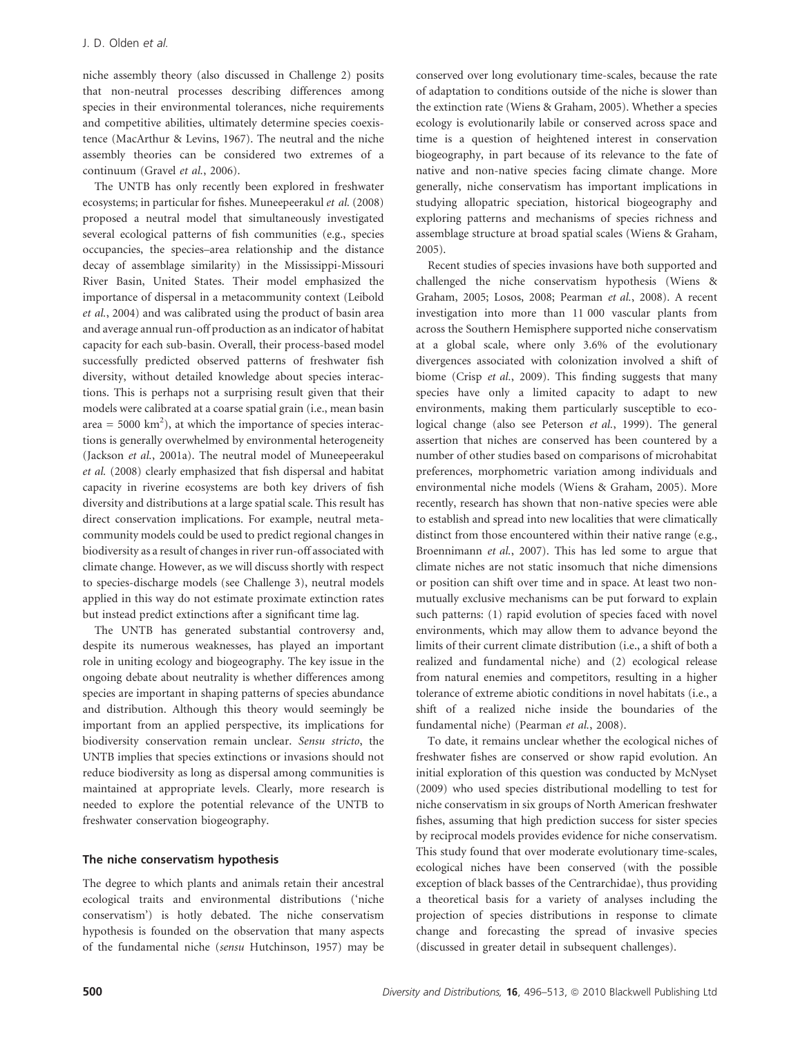niche assembly theory (also discussed in Challenge 2) posits that non-neutral processes describing differences among species in their environmental tolerances, niche requirements and competitive abilities, ultimately determine species coexistence (MacArthur & Levins, 1967). The neutral and the niche assembly theories can be considered two extremes of a continuum (Gravel et al., 2006).

The UNTB has only recently been explored in freshwater ecosystems; in particular for fishes. Muneepeerakul et al. (2008) proposed a neutral model that simultaneously investigated several ecological patterns of fish communities (e.g., species occupancies, the species–area relationship and the distance decay of assemblage similarity) in the Mississippi-Missouri River Basin, United States. Their model emphasized the importance of dispersal in a metacommunity context (Leibold et al., 2004) and was calibrated using the product of basin area and average annual run-off production as an indicator of habitat capacity for each sub-basin. Overall, their process-based model successfully predicted observed patterns of freshwater fish diversity, without detailed knowledge about species interactions. This is perhaps not a surprising result given that their models were calibrated at a coarse spatial grain (i.e., mean basin area =  $5000 \text{ km}^2$ ), at which the importance of species interactions is generally overwhelmed by environmental heterogeneity (Jackson et al., 2001a). The neutral model of Muneepeerakul et al. (2008) clearly emphasized that fish dispersal and habitat capacity in riverine ecosystems are both key drivers of fish diversity and distributions at a large spatial scale. This result has direct conservation implications. For example, neutral metacommunity models could be used to predict regional changes in biodiversity as a result of changes in river run-off associated with climate change. However, as we will discuss shortly with respect to species-discharge models (see Challenge 3), neutral models applied in this way do not estimate proximate extinction rates but instead predict extinctions after a significant time lag.

The UNTB has generated substantial controversy and, despite its numerous weaknesses, has played an important role in uniting ecology and biogeography. The key issue in the ongoing debate about neutrality is whether differences among species are important in shaping patterns of species abundance and distribution. Although this theory would seemingly be important from an applied perspective, its implications for biodiversity conservation remain unclear. Sensu stricto, the UNTB implies that species extinctions or invasions should not reduce biodiversity as long as dispersal among communities is maintained at appropriate levels. Clearly, more research is needed to explore the potential relevance of the UNTB to freshwater conservation biogeography.

## The niche conservatism hypothesis

The degree to which plants and animals retain their ancestral ecological traits and environmental distributions ('niche conservatism') is hotly debated. The niche conservatism hypothesis is founded on the observation that many aspects of the fundamental niche (sensu Hutchinson, 1957) may be conserved over long evolutionary time-scales, because the rate of adaptation to conditions outside of the niche is slower than the extinction rate (Wiens & Graham, 2005). Whether a species ecology is evolutionarily labile or conserved across space and time is a question of heightened interest in conservation biogeography, in part because of its relevance to the fate of native and non-native species facing climate change. More generally, niche conservatism has important implications in studying allopatric speciation, historical biogeography and exploring patterns and mechanisms of species richness and assemblage structure at broad spatial scales (Wiens & Graham, 2005).

Recent studies of species invasions have both supported and challenged the niche conservatism hypothesis (Wiens & Graham, 2005; Losos, 2008; Pearman et al., 2008). A recent investigation into more than 11 000 vascular plants from across the Southern Hemisphere supported niche conservatism at a global scale, where only 3.6% of the evolutionary divergences associated with colonization involved a shift of biome (Crisp et al., 2009). This finding suggests that many species have only a limited capacity to adapt to new environments, making them particularly susceptible to ecological change (also see Peterson et al., 1999). The general assertion that niches are conserved has been countered by a number of other studies based on comparisons of microhabitat preferences, morphometric variation among individuals and environmental niche models (Wiens & Graham, 2005). More recently, research has shown that non-native species were able to establish and spread into new localities that were climatically distinct from those encountered within their native range (e.g., Broennimann et al., 2007). This has led some to argue that climate niches are not static insomuch that niche dimensions or position can shift over time and in space. At least two nonmutually exclusive mechanisms can be put forward to explain such patterns: (1) rapid evolution of species faced with novel environments, which may allow them to advance beyond the limits of their current climate distribution (i.e., a shift of both a realized and fundamental niche) and (2) ecological release from natural enemies and competitors, resulting in a higher tolerance of extreme abiotic conditions in novel habitats (i.e., a shift of a realized niche inside the boundaries of the fundamental niche) (Pearman et al., 2008).

To date, it remains unclear whether the ecological niches of freshwater fishes are conserved or show rapid evolution. An initial exploration of this question was conducted by McNyset (2009) who used species distributional modelling to test for niche conservatism in six groups of North American freshwater fishes, assuming that high prediction success for sister species by reciprocal models provides evidence for niche conservatism. This study found that over moderate evolutionary time-scales, ecological niches have been conserved (with the possible exception of black basses of the Centrarchidae), thus providing a theoretical basis for a variety of analyses including the projection of species distributions in response to climate change and forecasting the spread of invasive species (discussed in greater detail in subsequent challenges).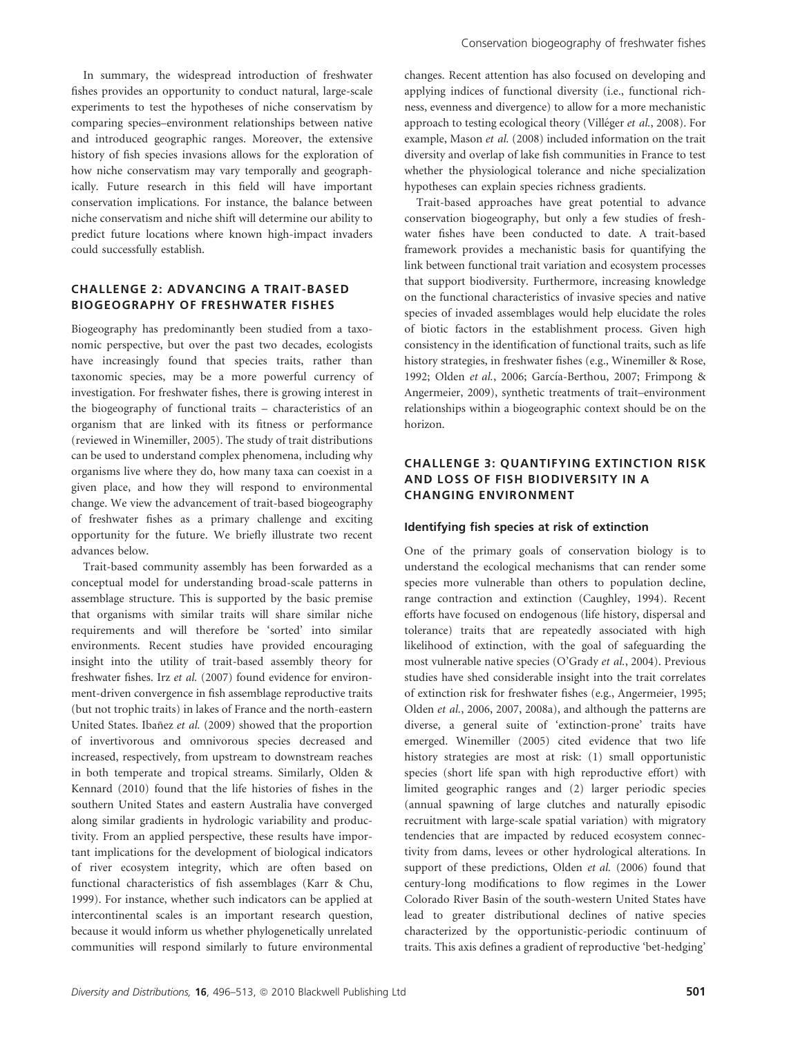In summary, the widespread introduction of freshwater fishes provides an opportunity to conduct natural, large-scale experiments to test the hypotheses of niche conservatism by comparing species–environment relationships between native and introduced geographic ranges. Moreover, the extensive history of fish species invasions allows for the exploration of how niche conservatism may vary temporally and geographically. Future research in this field will have important conservation implications. For instance, the balance between niche conservatism and niche shift will determine our ability to predict future locations where known high-impact invaders could successfully establish.

# CHALLENGE 2: ADVANCING A TRAIT-BASED BIOGEOGRAPHY OF FRESHWATER FISHES

Biogeography has predominantly been studied from a taxonomic perspective, but over the past two decades, ecologists have increasingly found that species traits, rather than taxonomic species, may be a more powerful currency of investigation. For freshwater fishes, there is growing interest in the biogeography of functional traits – characteristics of an organism that are linked with its fitness or performance (reviewed in Winemiller, 2005). The study of trait distributions can be used to understand complex phenomena, including why organisms live where they do, how many taxa can coexist in a given place, and how they will respond to environmental change. We view the advancement of trait-based biogeography of freshwater fishes as a primary challenge and exciting opportunity for the future. We briefly illustrate two recent advances below.

Trait-based community assembly has been forwarded as a conceptual model for understanding broad-scale patterns in assemblage structure. This is supported by the basic premise that organisms with similar traits will share similar niche requirements and will therefore be 'sorted' into similar environments. Recent studies have provided encouraging insight into the utility of trait-based assembly theory for freshwater fishes. Irz et al. (2007) found evidence for environment-driven convergence in fish assemblage reproductive traits (but not trophic traits) in lakes of France and the north-eastern United States. Ibañez et al. (2009) showed that the proportion of invertivorous and omnivorous species decreased and increased, respectively, from upstream to downstream reaches in both temperate and tropical streams. Similarly, Olden & Kennard (2010) found that the life histories of fishes in the southern United States and eastern Australia have converged along similar gradients in hydrologic variability and productivity. From an applied perspective, these results have important implications for the development of biological indicators of river ecosystem integrity, which are often based on functional characteristics of fish assemblages (Karr & Chu, 1999). For instance, whether such indicators can be applied at intercontinental scales is an important research question, because it would inform us whether phylogenetically unrelated communities will respond similarly to future environmental changes. Recent attention has also focused on developing and applying indices of functional diversity (i.e., functional richness, evenness and divergence) to allow for a more mechanistic approach to testing ecological theory (Villéger et al., 2008). For example, Mason et al. (2008) included information on the trait diversity and overlap of lake fish communities in France to test whether the physiological tolerance and niche specialization hypotheses can explain species richness gradients.

Trait-based approaches have great potential to advance conservation biogeography, but only a few studies of freshwater fishes have been conducted to date. A trait-based framework provides a mechanistic basis for quantifying the link between functional trait variation and ecosystem processes that support biodiversity. Furthermore, increasing knowledge on the functional characteristics of invasive species and native species of invaded assemblages would help elucidate the roles of biotic factors in the establishment process. Given high consistency in the identification of functional traits, such as life history strategies, in freshwater fishes (e.g., Winemiller & Rose, 1992; Olden et al., 2006; García-Berthou, 2007; Frimpong & Angermeier, 2009), synthetic treatments of trait–environment relationships within a biogeographic context should be on the horizon.

# CHALLENGE 3: QUANTIFYING EXTINCTION RISK AND LOSS OF FISH BIODIVERSITY IN A CHANGING ENVIRONMENT

## Identifying fish species at risk of extinction

One of the primary goals of conservation biology is to understand the ecological mechanisms that can render some species more vulnerable than others to population decline, range contraction and extinction (Caughley, 1994). Recent efforts have focused on endogenous (life history, dispersal and tolerance) traits that are repeatedly associated with high likelihood of extinction, with the goal of safeguarding the most vulnerable native species (O'Grady et al., 2004). Previous studies have shed considerable insight into the trait correlates of extinction risk for freshwater fishes (e.g., Angermeier, 1995; Olden et al., 2006, 2007, 2008a), and although the patterns are diverse, a general suite of 'extinction-prone' traits have emerged. Winemiller (2005) cited evidence that two life history strategies are most at risk: (1) small opportunistic species (short life span with high reproductive effort) with limited geographic ranges and (2) larger periodic species (annual spawning of large clutches and naturally episodic recruitment with large-scale spatial variation) with migratory tendencies that are impacted by reduced ecosystem connectivity from dams, levees or other hydrological alterations. In support of these predictions, Olden et al. (2006) found that century-long modifications to flow regimes in the Lower Colorado River Basin of the south-western United States have lead to greater distributional declines of native species characterized by the opportunistic-periodic continuum of traits. This axis defines a gradient of reproductive 'bet-hedging'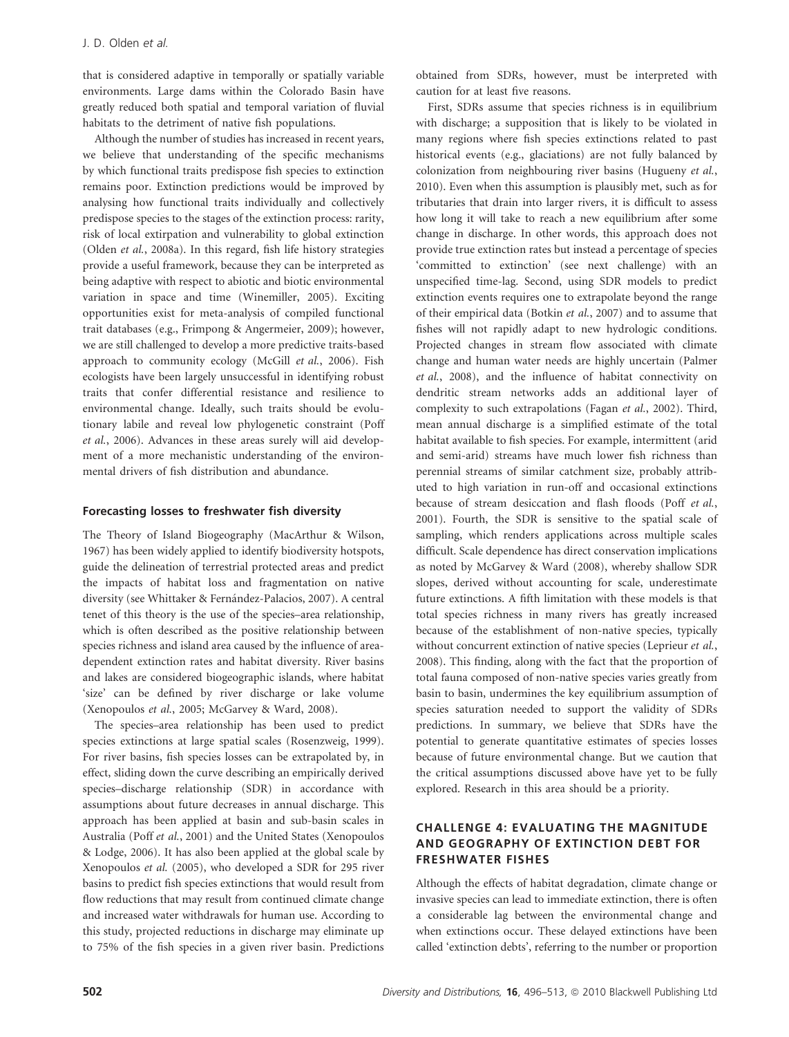that is considered adaptive in temporally or spatially variable environments. Large dams within the Colorado Basin have greatly reduced both spatial and temporal variation of fluvial habitats to the detriment of native fish populations.

Although the number of studies has increased in recent years, we believe that understanding of the specific mechanisms by which functional traits predispose fish species to extinction remains poor. Extinction predictions would be improved by analysing how functional traits individually and collectively predispose species to the stages of the extinction process: rarity, risk of local extirpation and vulnerability to global extinction (Olden et al., 2008a). In this regard, fish life history strategies provide a useful framework, because they can be interpreted as being adaptive with respect to abiotic and biotic environmental variation in space and time (Winemiller, 2005). Exciting opportunities exist for meta-analysis of compiled functional trait databases (e.g., Frimpong & Angermeier, 2009); however, we are still challenged to develop a more predictive traits-based approach to community ecology (McGill et al., 2006). Fish ecologists have been largely unsuccessful in identifying robust traits that confer differential resistance and resilience to environmental change. Ideally, such traits should be evolutionary labile and reveal low phylogenetic constraint (Poff et al., 2006). Advances in these areas surely will aid development of a more mechanistic understanding of the environmental drivers of fish distribution and abundance.

## Forecasting losses to freshwater fish diversity

The Theory of Island Biogeography (MacArthur & Wilson, 1967) has been widely applied to identify biodiversity hotspots, guide the delineation of terrestrial protected areas and predict the impacts of habitat loss and fragmentation on native diversity (see Whittaker & Fernández-Palacios, 2007). A central tenet of this theory is the use of the species–area relationship, which is often described as the positive relationship between species richness and island area caused by the influence of areadependent extinction rates and habitat diversity. River basins and lakes are considered biogeographic islands, where habitat 'size' can be defined by river discharge or lake volume (Xenopoulos et al., 2005; McGarvey & Ward, 2008).

The species–area relationship has been used to predict species extinctions at large spatial scales (Rosenzweig, 1999). For river basins, fish species losses can be extrapolated by, in effect, sliding down the curve describing an empirically derived species–discharge relationship (SDR) in accordance with assumptions about future decreases in annual discharge. This approach has been applied at basin and sub-basin scales in Australia (Poff et al., 2001) and the United States (Xenopoulos & Lodge, 2006). It has also been applied at the global scale by Xenopoulos et al. (2005), who developed a SDR for 295 river basins to predict fish species extinctions that would result from flow reductions that may result from continued climate change and increased water withdrawals for human use. According to this study, projected reductions in discharge may eliminate up to 75% of the fish species in a given river basin. Predictions obtained from SDRs, however, must be interpreted with caution for at least five reasons.

First, SDRs assume that species richness is in equilibrium with discharge; a supposition that is likely to be violated in many regions where fish species extinctions related to past historical events (e.g., glaciations) are not fully balanced by colonization from neighbouring river basins (Hugueny et al., 2010). Even when this assumption is plausibly met, such as for tributaries that drain into larger rivers, it is difficult to assess how long it will take to reach a new equilibrium after some change in discharge. In other words, this approach does not provide true extinction rates but instead a percentage of species 'committed to extinction' (see next challenge) with an unspecified time-lag. Second, using SDR models to predict extinction events requires one to extrapolate beyond the range of their empirical data (Botkin et al., 2007) and to assume that fishes will not rapidly adapt to new hydrologic conditions. Projected changes in stream flow associated with climate change and human water needs are highly uncertain (Palmer et al., 2008), and the influence of habitat connectivity on dendritic stream networks adds an additional layer of complexity to such extrapolations (Fagan et al., 2002). Third, mean annual discharge is a simplified estimate of the total habitat available to fish species. For example, intermittent (arid and semi-arid) streams have much lower fish richness than perennial streams of similar catchment size, probably attributed to high variation in run-off and occasional extinctions because of stream desiccation and flash floods (Poff et al., 2001). Fourth, the SDR is sensitive to the spatial scale of sampling, which renders applications across multiple scales difficult. Scale dependence has direct conservation implications as noted by McGarvey & Ward (2008), whereby shallow SDR slopes, derived without accounting for scale, underestimate future extinctions. A fifth limitation with these models is that total species richness in many rivers has greatly increased because of the establishment of non-native species, typically without concurrent extinction of native species (Leprieur et al., 2008). This finding, along with the fact that the proportion of total fauna composed of non-native species varies greatly from basin to basin, undermines the key equilibrium assumption of species saturation needed to support the validity of SDRs predictions. In summary, we believe that SDRs have the potential to generate quantitative estimates of species losses because of future environmental change. But we caution that the critical assumptions discussed above have yet to be fully explored. Research in this area should be a priority.

## CHALLENGE 4: EVALUATING THE MAGNITUDE AND GEOGRAPHY OF EXTINCTION DEBT FOR FRESHWATER FISHES

Although the effects of habitat degradation, climate change or invasive species can lead to immediate extinction, there is often a considerable lag between the environmental change and when extinctions occur. These delayed extinctions have been called 'extinction debts', referring to the number or proportion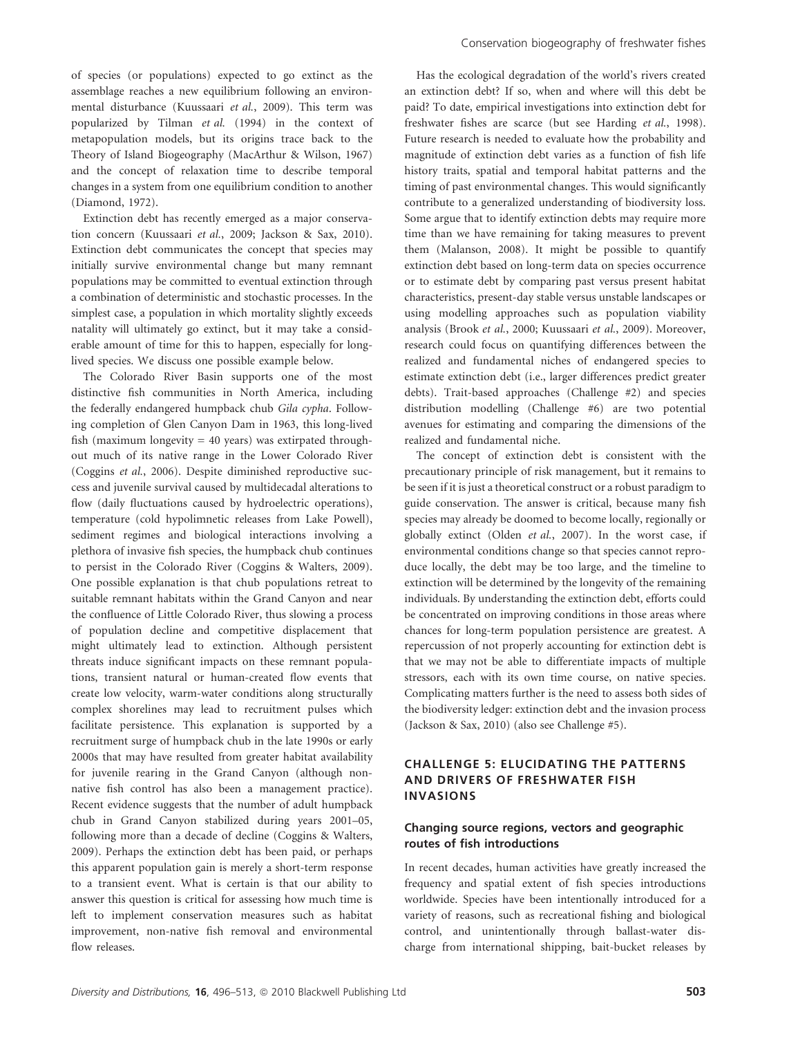of species (or populations) expected to go extinct as the assemblage reaches a new equilibrium following an environmental disturbance (Kuussaari et al., 2009). This term was popularized by Tilman et al. (1994) in the context of metapopulation models, but its origins trace back to the Theory of Island Biogeography (MacArthur & Wilson, 1967) and the concept of relaxation time to describe temporal changes in a system from one equilibrium condition to another (Diamond, 1972).

Extinction debt has recently emerged as a major conservation concern (Kuussaari et al., 2009; Jackson & Sax, 2010). Extinction debt communicates the concept that species may initially survive environmental change but many remnant populations may be committed to eventual extinction through a combination of deterministic and stochastic processes. In the simplest case, a population in which mortality slightly exceeds natality will ultimately go extinct, but it may take a considerable amount of time for this to happen, especially for longlived species. We discuss one possible example below.

The Colorado River Basin supports one of the most distinctive fish communities in North America, including the federally endangered humpback chub Gila cypha. Following completion of Glen Canyon Dam in 1963, this long-lived fish (maximum longevity = 40 years) was extirpated throughout much of its native range in the Lower Colorado River (Coggins et al., 2006). Despite diminished reproductive success and juvenile survival caused by multidecadal alterations to flow (daily fluctuations caused by hydroelectric operations), temperature (cold hypolimnetic releases from Lake Powell), sediment regimes and biological interactions involving a plethora of invasive fish species, the humpback chub continues to persist in the Colorado River (Coggins & Walters, 2009). One possible explanation is that chub populations retreat to suitable remnant habitats within the Grand Canyon and near the confluence of Little Colorado River, thus slowing a process of population decline and competitive displacement that might ultimately lead to extinction. Although persistent threats induce significant impacts on these remnant populations, transient natural or human-created flow events that create low velocity, warm-water conditions along structurally complex shorelines may lead to recruitment pulses which facilitate persistence. This explanation is supported by a recruitment surge of humpback chub in the late 1990s or early 2000s that may have resulted from greater habitat availability for juvenile rearing in the Grand Canyon (although nonnative fish control has also been a management practice). Recent evidence suggests that the number of adult humpback chub in Grand Canyon stabilized during years 2001–05, following more than a decade of decline (Coggins & Walters, 2009). Perhaps the extinction debt has been paid, or perhaps this apparent population gain is merely a short-term response to a transient event. What is certain is that our ability to answer this question is critical for assessing how much time is left to implement conservation measures such as habitat improvement, non-native fish removal and environmental flow releases.

Has the ecological degradation of the world's rivers created an extinction debt? If so, when and where will this debt be paid? To date, empirical investigations into extinction debt for freshwater fishes are scarce (but see Harding et al., 1998). Future research is needed to evaluate how the probability and magnitude of extinction debt varies as a function of fish life history traits, spatial and temporal habitat patterns and the timing of past environmental changes. This would significantly contribute to a generalized understanding of biodiversity loss. Some argue that to identify extinction debts may require more time than we have remaining for taking measures to prevent them (Malanson, 2008). It might be possible to quantify extinction debt based on long-term data on species occurrence or to estimate debt by comparing past versus present habitat characteristics, present-day stable versus unstable landscapes or using modelling approaches such as population viability analysis (Brook et al., 2000; Kuussaari et al., 2009). Moreover, research could focus on quantifying differences between the realized and fundamental niches of endangered species to estimate extinction debt (i.e., larger differences predict greater debts). Trait-based approaches (Challenge #2) and species distribution modelling (Challenge #6) are two potential avenues for estimating and comparing the dimensions of the realized and fundamental niche.

The concept of extinction debt is consistent with the precautionary principle of risk management, but it remains to be seen if it is just a theoretical construct or a robust paradigm to guide conservation. The answer is critical, because many fish species may already be doomed to become locally, regionally or globally extinct (Olden et al., 2007). In the worst case, if environmental conditions change so that species cannot reproduce locally, the debt may be too large, and the timeline to extinction will be determined by the longevity of the remaining individuals. By understanding the extinction debt, efforts could be concentrated on improving conditions in those areas where chances for long-term population persistence are greatest. A repercussion of not properly accounting for extinction debt is that we may not be able to differentiate impacts of multiple stressors, each with its own time course, on native species. Complicating matters further is the need to assess both sides of the biodiversity ledger: extinction debt and the invasion process (Jackson & Sax, 2010) (also see Challenge #5).

# CHALLENGE 5: ELUCIDATING THE PATTERNS AND DRIVERS OF FRESHWATER FISH INVASIONS

## Changing source regions, vectors and geographic routes of fish introductions

In recent decades, human activities have greatly increased the frequency and spatial extent of fish species introductions worldwide. Species have been intentionally introduced for a variety of reasons, such as recreational fishing and biological control, and unintentionally through ballast-water discharge from international shipping, bait-bucket releases by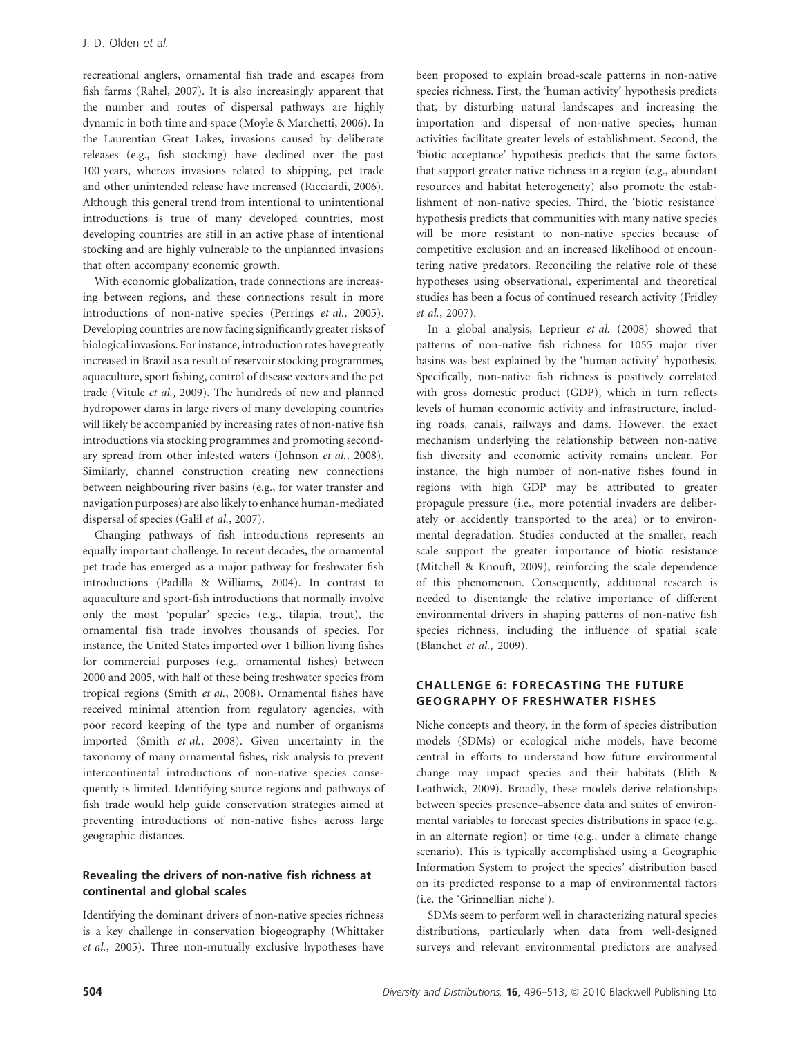recreational anglers, ornamental fish trade and escapes from fish farms (Rahel, 2007). It is also increasingly apparent that the number and routes of dispersal pathways are highly dynamic in both time and space (Moyle & Marchetti, 2006). In the Laurentian Great Lakes, invasions caused by deliberate releases (e.g., fish stocking) have declined over the past 100 years, whereas invasions related to shipping, pet trade and other unintended release have increased (Ricciardi, 2006). Although this general trend from intentional to unintentional introductions is true of many developed countries, most developing countries are still in an active phase of intentional stocking and are highly vulnerable to the unplanned invasions that often accompany economic growth.

With economic globalization, trade connections are increasing between regions, and these connections result in more introductions of non-native species (Perrings et al., 2005). Developing countries are now facing significantly greater risks of biological invasions. For instance, introduction rates have greatly increased in Brazil as a result of reservoir stocking programmes, aquaculture, sport fishing, control of disease vectors and the pet trade (Vitule et al., 2009). The hundreds of new and planned hydropower dams in large rivers of many developing countries will likely be accompanied by increasing rates of non-native fish introductions via stocking programmes and promoting secondary spread from other infested waters (Johnson et al., 2008). Similarly, channel construction creating new connections between neighbouring river basins (e.g., for water transfer and navigation purposes) are also likely to enhance human-mediated dispersal of species (Galil et al., 2007).

Changing pathways of fish introductions represents an equally important challenge. In recent decades, the ornamental pet trade has emerged as a major pathway for freshwater fish introductions (Padilla & Williams, 2004). In contrast to aquaculture and sport-fish introductions that normally involve only the most 'popular' species (e.g., tilapia, trout), the ornamental fish trade involves thousands of species. For instance, the United States imported over 1 billion living fishes for commercial purposes (e.g., ornamental fishes) between 2000 and 2005, with half of these being freshwater species from tropical regions (Smith et al., 2008). Ornamental fishes have received minimal attention from regulatory agencies, with poor record keeping of the type and number of organisms imported (Smith et al., 2008). Given uncertainty in the taxonomy of many ornamental fishes, risk analysis to prevent intercontinental introductions of non-native species consequently is limited. Identifying source regions and pathways of fish trade would help guide conservation strategies aimed at preventing introductions of non-native fishes across large geographic distances.

# Revealing the drivers of non-native fish richness at continental and global scales

Identifying the dominant drivers of non-native species richness is a key challenge in conservation biogeography (Whittaker et al., 2005). Three non-mutually exclusive hypotheses have been proposed to explain broad-scale patterns in non-native species richness. First, the 'human activity' hypothesis predicts that, by disturbing natural landscapes and increasing the importation and dispersal of non-native species, human activities facilitate greater levels of establishment. Second, the 'biotic acceptance' hypothesis predicts that the same factors that support greater native richness in a region (e.g., abundant resources and habitat heterogeneity) also promote the establishment of non-native species. Third, the 'biotic resistance' hypothesis predicts that communities with many native species will be more resistant to non-native species because of competitive exclusion and an increased likelihood of encountering native predators. Reconciling the relative role of these hypotheses using observational, experimental and theoretical studies has been a focus of continued research activity (Fridley et al., 2007).

In a global analysis, Leprieur et al. (2008) showed that patterns of non-native fish richness for 1055 major river basins was best explained by the 'human activity' hypothesis. Specifically, non-native fish richness is positively correlated with gross domestic product (GDP), which in turn reflects levels of human economic activity and infrastructure, including roads, canals, railways and dams. However, the exact mechanism underlying the relationship between non-native fish diversity and economic activity remains unclear. For instance, the high number of non-native fishes found in regions with high GDP may be attributed to greater propagule pressure (i.e., more potential invaders are deliberately or accidently transported to the area) or to environmental degradation. Studies conducted at the smaller, reach scale support the greater importance of biotic resistance (Mitchell & Knouft, 2009), reinforcing the scale dependence of this phenomenon. Consequently, additional research is needed to disentangle the relative importance of different environmental drivers in shaping patterns of non-native fish species richness, including the influence of spatial scale (Blanchet et al., 2009).

# CHALLENGE 6: FORECASTING THE FUTURE GEOGRAPHY OF FRESHWATER FISHES

Niche concepts and theory, in the form of species distribution models (SDMs) or ecological niche models, have become central in efforts to understand how future environmental change may impact species and their habitats (Elith & Leathwick, 2009). Broadly, these models derive relationships between species presence–absence data and suites of environmental variables to forecast species distributions in space (e.g., in an alternate region) or time (e.g., under a climate change scenario). This is typically accomplished using a Geographic Information System to project the species' distribution based on its predicted response to a map of environmental factors (i.e. the 'Grinnellian niche').

SDMs seem to perform well in characterizing natural species distributions, particularly when data from well-designed surveys and relevant environmental predictors are analysed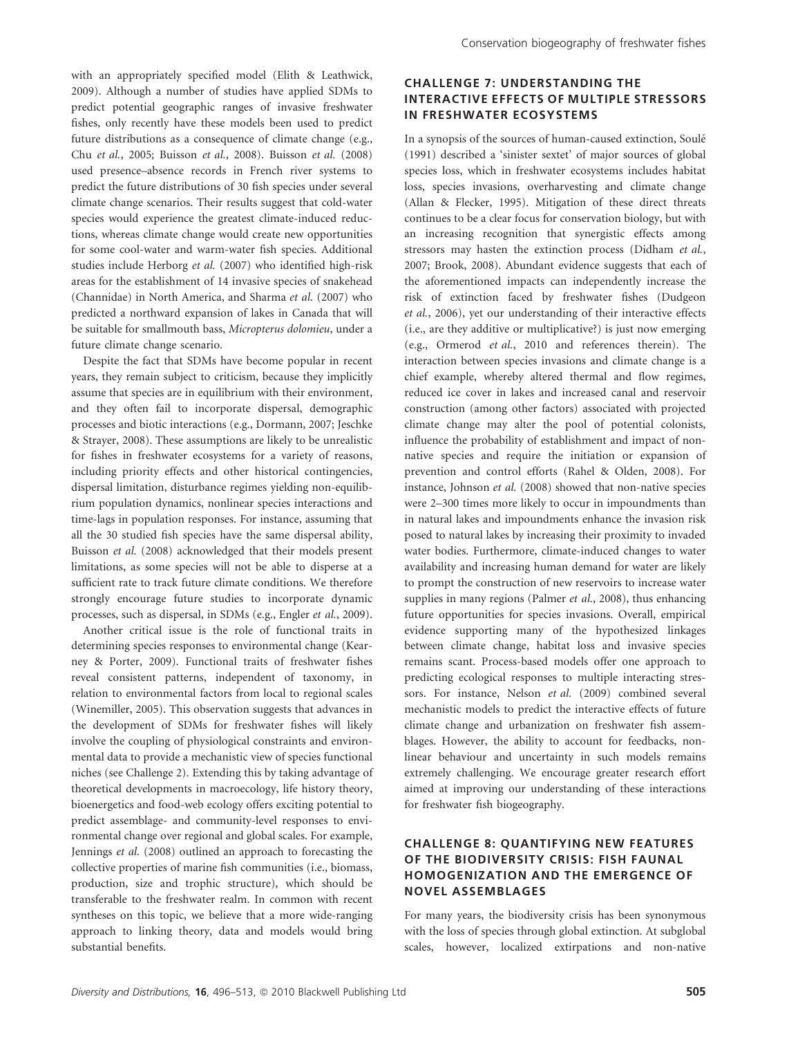with an appropriately specified model (Elith & Leathwick, 2009). Although a number of studies have applied SDMs to predict potential geographic ranges of invasive freshwater fishes, only recently have these models been used to predict future distributions as a consequence of climate change (e.g., Chu et al., 2005; Buisson et al., 2008). Buisson et al. (2008) used presence–absence records in French river systems to predict the future distributions of 30 fish species under several climate change scenarios. Their results suggest that cold-water species would experience the greatest climate-induced reductions, whereas climate change would create new opportunities for some cool-water and warm-water fish species. Additional studies include Herborg et al. (2007) who identified high-risk areas for the establishment of 14 invasive species of snakehead (Channidae) in North America, and Sharma et al. (2007) who predicted a northward expansion of lakes in Canada that will be suitable for smallmouth bass, Micropterus dolomieu, under a future climate change scenario.

Despite the fact that SDMs have become popular in recent years, they remain subject to criticism, because they implicitly assume that species are in equilibrium with their environment, and they often fail to incorporate dispersal, demographic processes and biotic interactions (e.g., Dormann, 2007; Jeschke & Strayer, 2008). These assumptions are likely to be unrealistic for fishes in freshwater ecosystems for a variety of reasons, including priority effects and other historical contingencies, dispersal limitation, disturbance regimes yielding non-equilibrium population dynamics, nonlinear species interactions and time-lags in population responses. For instance, assuming that all the 30 studied fish species have the same dispersal ability, Buisson et al. (2008) acknowledged that their models present limitations, as some species will not be able to disperse at a sufficient rate to track future climate conditions. We therefore strongly encourage future studies to incorporate dynamic processes, such as dispersal, in SDMs (e.g., Engler et al., 2009).

Another critical issue is the role of functional traits in determining species responses to environmental change (Kearney & Porter, 2009). Functional traits of freshwater fishes reveal consistent patterns, independent of taxonomy, in relation to environmental factors from local to regional scales (Winemiller, 2005). This observation suggests that advances in the development of SDMs for freshwater fishes will likely involve the coupling of physiological constraints and environmental data to provide a mechanistic view of species functional niches (see Challenge 2). Extending this by taking advantage of theoretical developments in macroecology, life history theory, bioenergetics and food-web ecology offers exciting potential to predict assemblage- and community-level responses to environmental change over regional and global scales. For example, Jennings et al. (2008) outlined an approach to forecasting the collective properties of marine fish communities (i.e., biomass, production, size and trophic structure), which should be transferable to the freshwater realm. In common with recent syntheses on this topic, we believe that a more wide-ranging approach to linking theory, data and models would bring substantial benefits.

# CHALLENGE 7: UNDERSTANDING THE INTERACTIVE EFFECTS OF MULTIPLE STRESSORS IN FRESHWATER ECOSYSTEMS

In a synopsis of the sources of human-caused extinction, Soule´ (1991) described a 'sinister sextet' of major sources of global species loss, which in freshwater ecosystems includes habitat loss, species invasions, overharvesting and climate change (Allan & Flecker, 1995). Mitigation of these direct threats continues to be a clear focus for conservation biology, but with an increasing recognition that synergistic effects among stressors may hasten the extinction process (Didham et al., 2007; Brook, 2008). Abundant evidence suggests that each of the aforementioned impacts can independently increase the risk of extinction faced by freshwater fishes (Dudgeon et al., 2006), yet our understanding of their interactive effects (i.e., are they additive or multiplicative?) is just now emerging (e.g., Ormerod et al., 2010 and references therein). The interaction between species invasions and climate change is a chief example, whereby altered thermal and flow regimes, reduced ice cover in lakes and increased canal and reservoir construction (among other factors) associated with projected climate change may alter the pool of potential colonists, influence the probability of establishment and impact of nonnative species and require the initiation or expansion of prevention and control efforts (Rahel & Olden, 2008). For instance, Johnson et al. (2008) showed that non-native species were 2–300 times more likely to occur in impoundments than in natural lakes and impoundments enhance the invasion risk posed to natural lakes by increasing their proximity to invaded water bodies. Furthermore, climate-induced changes to water availability and increasing human demand for water are likely to prompt the construction of new reservoirs to increase water supplies in many regions (Palmer et al., 2008), thus enhancing future opportunities for species invasions. Overall, empirical evidence supporting many of the hypothesized linkages between climate change, habitat loss and invasive species remains scant. Process-based models offer one approach to predicting ecological responses to multiple interacting stressors. For instance, Nelson et al. (2009) combined several mechanistic models to predict the interactive effects of future climate change and urbanization on freshwater fish assemblages. However, the ability to account for feedbacks, nonlinear behaviour and uncertainty in such models remains extremely challenging. We encourage greater research effort aimed at improving our understanding of these interactions for freshwater fish biogeography.

# CHALLENGE 8: QUANTIFYING NEW FEATURES OF THE BIODIVERSITY CRISIS: FISH FAUNAL HOMOGENIZATION AND THE EMERGENCE OF NOVEL ASSEMBLAGES

For many years, the biodiversity crisis has been synonymous with the loss of species through global extinction. At subglobal scales, however, localized extirpations and non-native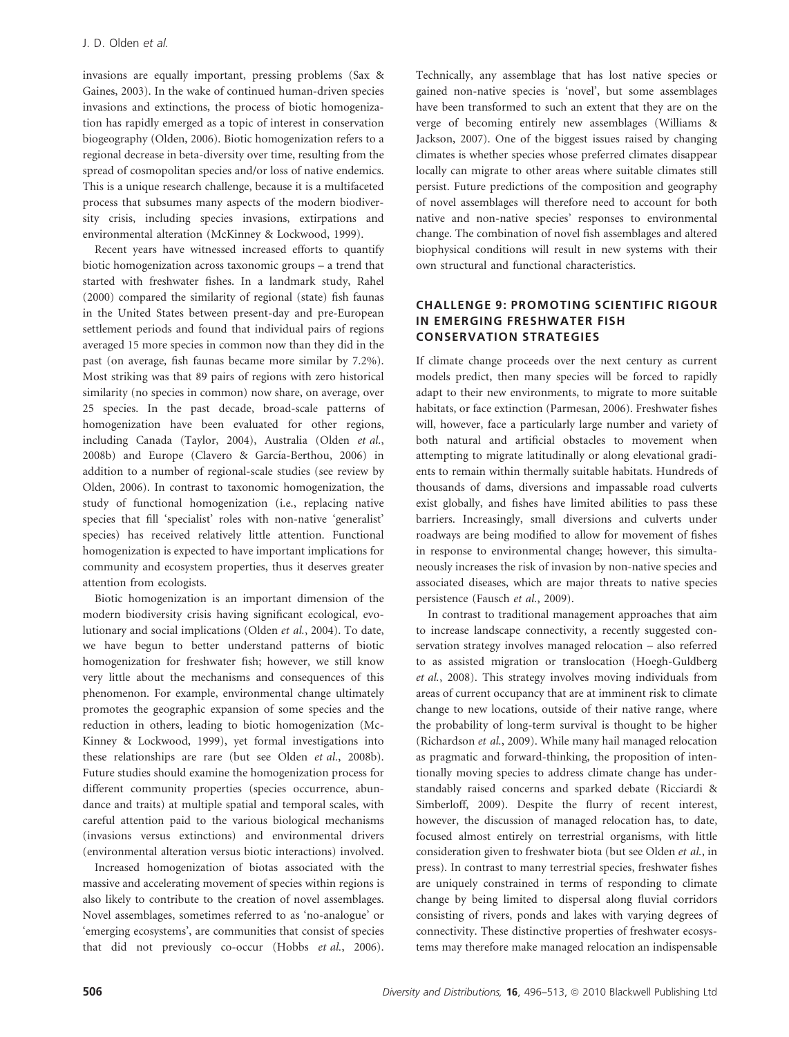invasions are equally important, pressing problems (Sax & Gaines, 2003). In the wake of continued human-driven species invasions and extinctions, the process of biotic homogenization has rapidly emerged as a topic of interest in conservation biogeography (Olden, 2006). Biotic homogenization refers to a regional decrease in beta-diversity over time, resulting from the spread of cosmopolitan species and/or loss of native endemics. This is a unique research challenge, because it is a multifaceted process that subsumes many aspects of the modern biodiversity crisis, including species invasions, extirpations and environmental alteration (McKinney & Lockwood, 1999).

Recent years have witnessed increased efforts to quantify biotic homogenization across taxonomic groups – a trend that started with freshwater fishes. In a landmark study, Rahel (2000) compared the similarity of regional (state) fish faunas in the United States between present-day and pre-European settlement periods and found that individual pairs of regions averaged 15 more species in common now than they did in the past (on average, fish faunas became more similar by 7.2%). Most striking was that 89 pairs of regions with zero historical similarity (no species in common) now share, on average, over 25 species. In the past decade, broad-scale patterns of homogenization have been evaluated for other regions, including Canada (Taylor, 2004), Australia (Olden et al., 2008b) and Europe (Clavero & García-Berthou, 2006) in addition to a number of regional-scale studies (see review by Olden, 2006). In contrast to taxonomic homogenization, the study of functional homogenization (i.e., replacing native species that fill 'specialist' roles with non-native 'generalist' species) has received relatively little attention. Functional homogenization is expected to have important implications for community and ecosystem properties, thus it deserves greater attention from ecologists.

Biotic homogenization is an important dimension of the modern biodiversity crisis having significant ecological, evolutionary and social implications (Olden et al., 2004). To date, we have begun to better understand patterns of biotic homogenization for freshwater fish; however, we still know very little about the mechanisms and consequences of this phenomenon. For example, environmental change ultimately promotes the geographic expansion of some species and the reduction in others, leading to biotic homogenization (Mc-Kinney & Lockwood, 1999), yet formal investigations into these relationships are rare (but see Olden et al., 2008b). Future studies should examine the homogenization process for different community properties (species occurrence, abundance and traits) at multiple spatial and temporal scales, with careful attention paid to the various biological mechanisms (invasions versus extinctions) and environmental drivers (environmental alteration versus biotic interactions) involved.

Increased homogenization of biotas associated with the massive and accelerating movement of species within regions is also likely to contribute to the creation of novel assemblages. Novel assemblages, sometimes referred to as 'no-analogue' or 'emerging ecosystems', are communities that consist of species that did not previously co-occur (Hobbs et al., 2006). Technically, any assemblage that has lost native species or gained non-native species is 'novel', but some assemblages have been transformed to such an extent that they are on the verge of becoming entirely new assemblages (Williams & Jackson, 2007). One of the biggest issues raised by changing climates is whether species whose preferred climates disappear locally can migrate to other areas where suitable climates still persist. Future predictions of the composition and geography of novel assemblages will therefore need to account for both native and non-native species' responses to environmental change. The combination of novel fish assemblages and altered biophysical conditions will result in new systems with their own structural and functional characteristics.

# CHALLENGE 9: PROMOTING SCIENTIFIC RIGOUR IN EMERGING FRESHWATER FISH CONSERVATION STRATEGIES

If climate change proceeds over the next century as current models predict, then many species will be forced to rapidly adapt to their new environments, to migrate to more suitable habitats, or face extinction (Parmesan, 2006). Freshwater fishes will, however, face a particularly large number and variety of both natural and artificial obstacles to movement when attempting to migrate latitudinally or along elevational gradients to remain within thermally suitable habitats. Hundreds of thousands of dams, diversions and impassable road culverts exist globally, and fishes have limited abilities to pass these barriers. Increasingly, small diversions and culverts under roadways are being modified to allow for movement of fishes in response to environmental change; however, this simultaneously increases the risk of invasion by non-native species and associated diseases, which are major threats to native species persistence (Fausch et al., 2009).

In contrast to traditional management approaches that aim to increase landscape connectivity, a recently suggested conservation strategy involves managed relocation – also referred to as assisted migration or translocation (Hoegh-Guldberg et al., 2008). This strategy involves moving individuals from areas of current occupancy that are at imminent risk to climate change to new locations, outside of their native range, where the probability of long-term survival is thought to be higher (Richardson et al., 2009). While many hail managed relocation as pragmatic and forward-thinking, the proposition of intentionally moving species to address climate change has understandably raised concerns and sparked debate (Ricciardi & Simberloff, 2009). Despite the flurry of recent interest, however, the discussion of managed relocation has, to date, focused almost entirely on terrestrial organisms, with little consideration given to freshwater biota (but see Olden et al., in press). In contrast to many terrestrial species, freshwater fishes are uniquely constrained in terms of responding to climate change by being limited to dispersal along fluvial corridors consisting of rivers, ponds and lakes with varying degrees of connectivity. These distinctive properties of freshwater ecosystems may therefore make managed relocation an indispensable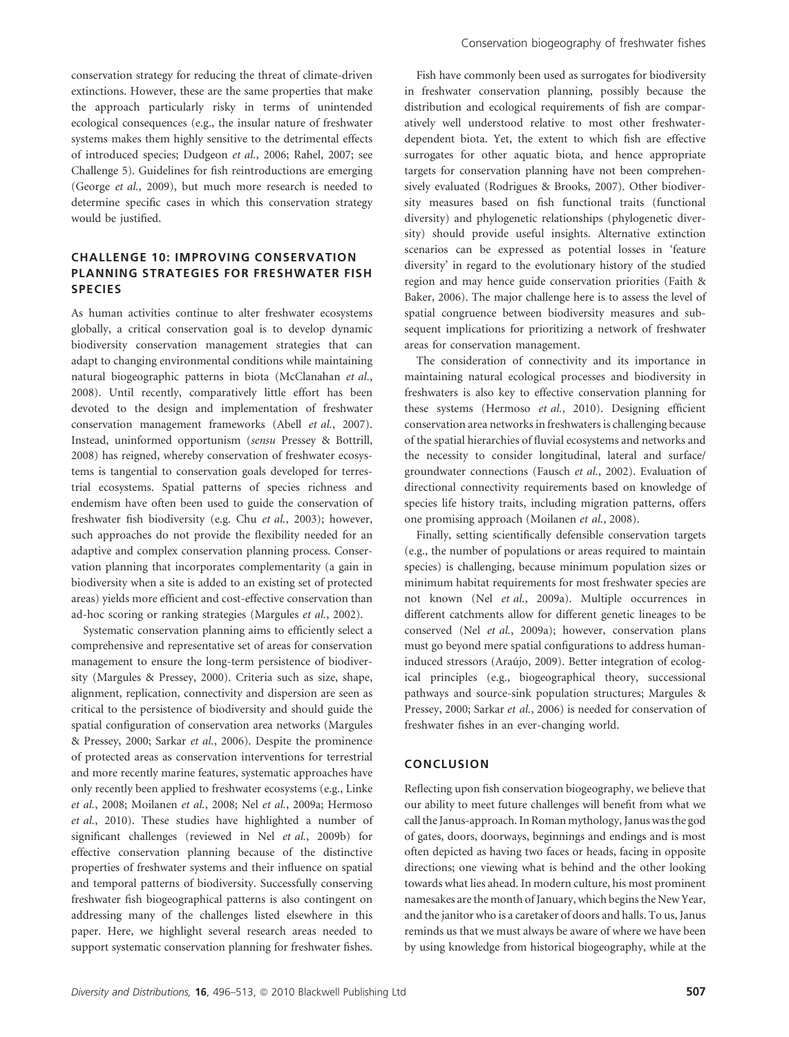conservation strategy for reducing the threat of climate-driven extinctions. However, these are the same properties that make the approach particularly risky in terms of unintended ecological consequences (e.g., the insular nature of freshwater systems makes them highly sensitive to the detrimental effects of introduced species; Dudgeon et al., 2006; Rahel, 2007; see Challenge 5). Guidelines for fish reintroductions are emerging (George et al., 2009), but much more research is needed to determine specific cases in which this conservation strategy would be justified.

# CHALLENGE 10: IMPROVING CONSERVATION PLANNING STRATEGIES FOR FRESHWATER FISH **SPECIES**

As human activities continue to alter freshwater ecosystems globally, a critical conservation goal is to develop dynamic biodiversity conservation management strategies that can adapt to changing environmental conditions while maintaining natural biogeographic patterns in biota (McClanahan et al., 2008). Until recently, comparatively little effort has been devoted to the design and implementation of freshwater conservation management frameworks (Abell et al., 2007). Instead, uninformed opportunism (sensu Pressey & Bottrill, 2008) has reigned, whereby conservation of freshwater ecosystems is tangential to conservation goals developed for terrestrial ecosystems. Spatial patterns of species richness and endemism have often been used to guide the conservation of freshwater fish biodiversity (e.g. Chu et al., 2003); however, such approaches do not provide the flexibility needed for an adaptive and complex conservation planning process. Conservation planning that incorporates complementarity (a gain in biodiversity when a site is added to an existing set of protected areas) yields more efficient and cost-effective conservation than ad-hoc scoring or ranking strategies (Margules et al., 2002).

Systematic conservation planning aims to efficiently select a comprehensive and representative set of areas for conservation management to ensure the long-term persistence of biodiversity (Margules & Pressey, 2000). Criteria such as size, shape, alignment, replication, connectivity and dispersion are seen as critical to the persistence of biodiversity and should guide the spatial configuration of conservation area networks (Margules & Pressey, 2000; Sarkar et al., 2006). Despite the prominence of protected areas as conservation interventions for terrestrial and more recently marine features, systematic approaches have only recently been applied to freshwater ecosystems (e.g., Linke et al., 2008; Moilanen et al., 2008; Nel et al., 2009a; Hermoso et al., 2010). These studies have highlighted a number of significant challenges (reviewed in Nel et al., 2009b) for effective conservation planning because of the distinctive properties of freshwater systems and their influence on spatial and temporal patterns of biodiversity. Successfully conserving freshwater fish biogeographical patterns is also contingent on addressing many of the challenges listed elsewhere in this paper. Here, we highlight several research areas needed to support systematic conservation planning for freshwater fishes.

Fish have commonly been used as surrogates for biodiversity in freshwater conservation planning, possibly because the distribution and ecological requirements of fish are comparatively well understood relative to most other freshwaterdependent biota. Yet, the extent to which fish are effective surrogates for other aquatic biota, and hence appropriate targets for conservation planning have not been comprehensively evaluated (Rodrigues & Brooks, 2007). Other biodiversity measures based on fish functional traits (functional diversity) and phylogenetic relationships (phylogenetic diversity) should provide useful insights. Alternative extinction scenarios can be expressed as potential losses in 'feature diversity' in regard to the evolutionary history of the studied region and may hence guide conservation priorities (Faith & Baker, 2006). The major challenge here is to assess the level of spatial congruence between biodiversity measures and subsequent implications for prioritizing a network of freshwater areas for conservation management.

The consideration of connectivity and its importance in maintaining natural ecological processes and biodiversity in freshwaters is also key to effective conservation planning for these systems (Hermoso et al., 2010). Designing efficient conservation area networks in freshwaters is challenging because of the spatial hierarchies of fluvial ecosystems and networks and the necessity to consider longitudinal, lateral and surface/ groundwater connections (Fausch et al., 2002). Evaluation of directional connectivity requirements based on knowledge of species life history traits, including migration patterns, offers one promising approach (Moilanen et al., 2008).

Finally, setting scientifically defensible conservation targets (e.g., the number of populations or areas required to maintain species) is challenging, because minimum population sizes or minimum habitat requirements for most freshwater species are not known (Nel et al., 2009a). Multiple occurrences in different catchments allow for different genetic lineages to be conserved (Nel et al., 2009a); however, conservation plans must go beyond mere spatial configurations to address humaninduced stressors (Araújo, 2009). Better integration of ecological principles (e.g., biogeographical theory, successional pathways and source-sink population structures; Margules & Pressey, 2000; Sarkar et al., 2006) is needed for conservation of freshwater fishes in an ever-changing world.

# **CONCLUSION**

Reflecting upon fish conservation biogeography, we believe that our ability to meet future challenges will benefit from what we call the Janus-approach. In Roman mythology, Janus was the god of gates, doors, doorways, beginnings and endings and is most often depicted as having two faces or heads, facing in opposite directions; one viewing what is behind and the other looking towards what lies ahead. In modern culture, his most prominent namesakes are the month of January, which begins the New Year, and the janitor who is a caretaker of doors and halls. To us, Janus reminds us that we must always be aware of where we have been by using knowledge from historical biogeography, while at the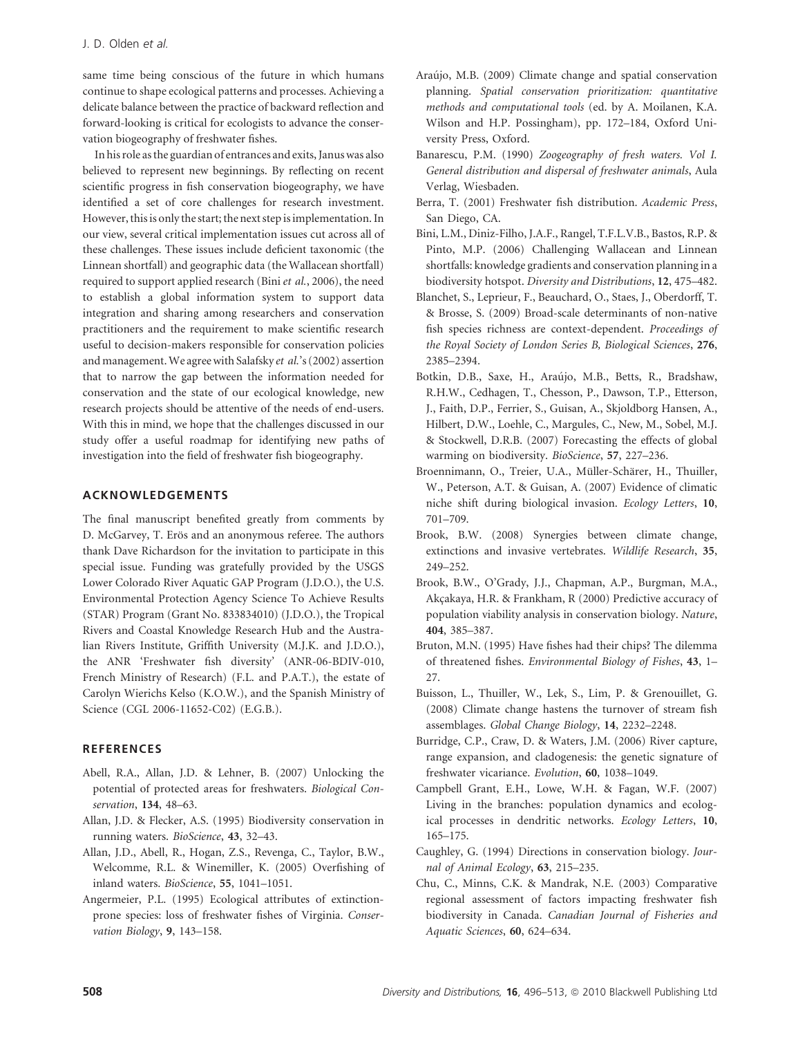same time being conscious of the future in which humans continue to shape ecological patterns and processes. Achieving a delicate balance between the practice of backward reflection and forward-looking is critical for ecologists to advance the conservation biogeography of freshwater fishes.

In his role as the guardian of entrances and exits, Janus was also believed to represent new beginnings. By reflecting on recent scientific progress in fish conservation biogeography, we have identified a set of core challenges for research investment. However, this is only the start; the next step is implementation. In our view, several critical implementation issues cut across all of these challenges. These issues include deficient taxonomic (the Linnean shortfall) and geographic data (the Wallacean shortfall) required to support applied research (Bini et al., 2006), the need to establish a global information system to support data integration and sharing among researchers and conservation practitioners and the requirement to make scientific research useful to decision-makers responsible for conservation policies and management.We agree with Salafsky et al.'s (2002) assertion that to narrow the gap between the information needed for conservation and the state of our ecological knowledge, new research projects should be attentive of the needs of end-users. With this in mind, we hope that the challenges discussed in our study offer a useful roadmap for identifying new paths of investigation into the field of freshwater fish biogeography.

## ACKNOWLEDGEMENTS

The final manuscript benefited greatly from comments by D. McGarvey, T. Erös and an anonymous referee. The authors thank Dave Richardson for the invitation to participate in this special issue. Funding was gratefully provided by the USGS Lower Colorado River Aquatic GAP Program (J.D.O.), the U.S. Environmental Protection Agency Science To Achieve Results (STAR) Program (Grant No. 833834010) (J.D.O.), the Tropical Rivers and Coastal Knowledge Research Hub and the Australian Rivers Institute, Griffith University (M.J.K. and J.D.O.), the ANR 'Freshwater fish diversity' (ANR-06-BDIV-010, French Ministry of Research) (F.L. and P.A.T.), the estate of Carolyn Wierichs Kelso (K.O.W.), and the Spanish Ministry of Science (CGL 2006-11652-C02) (E.G.B.).

# REFERENCES

- Abell, R.A., Allan, J.D. & Lehner, B. (2007) Unlocking the potential of protected areas for freshwaters. Biological Conservation, 134, 48–63.
- Allan, J.D. & Flecker, A.S. (1995) Biodiversity conservation in running waters. BioScience, 43, 32–43.
- Allan, J.D., Abell, R., Hogan, Z.S., Revenga, C., Taylor, B.W., Welcomme, R.L. & Winemiller, K. (2005) Overfishing of inland waters. BioScience, 55, 1041–1051.
- Angermeier, P.L. (1995) Ecological attributes of extinctionprone species: loss of freshwater fishes of Virginia. Conservation Biology, 9, 143–158.
- Araújo, M.B. (2009) Climate change and spatial conservation planning. Spatial conservation prioritization: quantitative methods and computational tools (ed. by A. Moilanen, K.A. Wilson and H.P. Possingham), pp. 172–184, Oxford University Press, Oxford.
- Banarescu, P.M. (1990) Zoogeography of fresh waters. Vol I. General distribution and dispersal of freshwater animals, Aula Verlag, Wiesbaden.
- Berra, T. (2001) Freshwater fish distribution. Academic Press, San Diego, CA.
- Bini, L.M., Diniz-Filho, J.A.F., Rangel, T.F.L.V.B., Bastos, R.P. & Pinto, M.P. (2006) Challenging Wallacean and Linnean shortfalls: knowledge gradients and conservation planning in a biodiversity hotspot. Diversity and Distributions, 12, 475–482.
- Blanchet, S., Leprieur, F., Beauchard, O., Staes, J., Oberdorff, T. & Brosse, S. (2009) Broad-scale determinants of non-native fish species richness are context-dependent. Proceedings of the Royal Society of London Series B, Biological Sciences, 276, 2385–2394.
- Botkin, D.B., Saxe, H., Araújo, M.B., Betts, R., Bradshaw, R.H.W., Cedhagen, T., Chesson, P., Dawson, T.P., Etterson, J., Faith, D.P., Ferrier, S., Guisan, A., Skjoldborg Hansen, A., Hilbert, D.W., Loehle, C., Margules, C., New, M., Sobel, M.J. & Stockwell, D.R.B. (2007) Forecasting the effects of global warming on biodiversity. *BioScience*, 57, 227–236.
- Broennimann, O., Treier, U.A., Müller-Schärer, H., Thuiller, W., Peterson, A.T. & Guisan, A. (2007) Evidence of climatic niche shift during biological invasion. Ecology Letters, 10, 701–709.
- Brook, B.W. (2008) Synergies between climate change, extinctions and invasive vertebrates. Wildlife Research, 35, 249–252.
- Brook, B.W., O'Grady, J.J., Chapman, A.P., Burgman, M.A., Akçakaya, H.R. & Frankham, R (2000) Predictive accuracy of population viability analysis in conservation biology. Nature, 404, 385–387.
- Bruton, M.N. (1995) Have fishes had their chips? The dilemma of threatened fishes. Environmental Biology of Fishes, 43, 1– 27.
- Buisson, L., Thuiller, W., Lek, S., Lim, P. & Grenouillet, G. (2008) Climate change hastens the turnover of stream fish assemblages. Global Change Biology, 14, 2232–2248.
- Burridge, C.P., Craw, D. & Waters, J.M. (2006) River capture, range expansion, and cladogenesis: the genetic signature of freshwater vicariance. Evolution, 60, 1038–1049.
- Campbell Grant, E.H., Lowe, W.H. & Fagan, W.F. (2007) Living in the branches: population dynamics and ecological processes in dendritic networks. Ecology Letters, 10, 165–175.
- Caughley, G. (1994) Directions in conservation biology. Journal of Animal Ecology, 63, 215–235.
- Chu, C., Minns, C.K. & Mandrak, N.E. (2003) Comparative regional assessment of factors impacting freshwater fish biodiversity in Canada. Canadian Journal of Fisheries and Aquatic Sciences, 60, 624–634.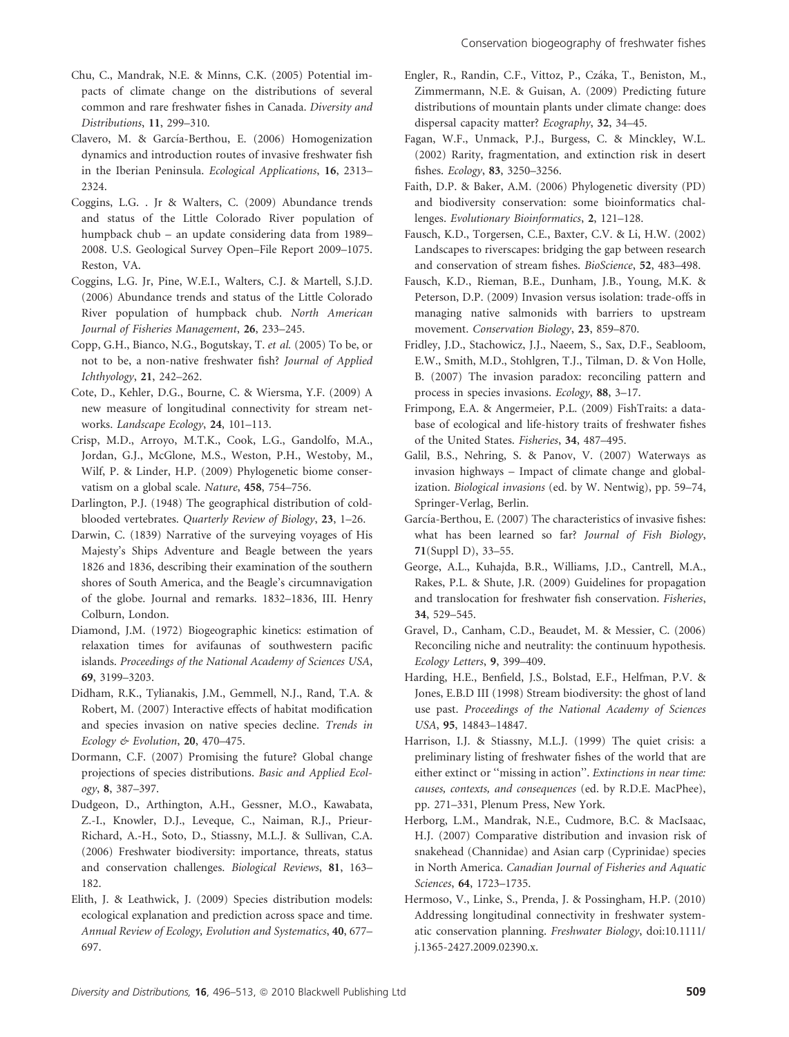- Chu, C., Mandrak, N.E. & Minns, C.K. (2005) Potential impacts of climate change on the distributions of several common and rare freshwater fishes in Canada. Diversity and Distributions, 11, 299–310.
- Clavero, M. & García-Berthou, E. (2006) Homogenization dynamics and introduction routes of invasive freshwater fish in the Iberian Peninsula. Ecological Applications, 16, 2313– 2324.
- Coggins, L.G. . Jr & Walters, C. (2009) Abundance trends and status of the Little Colorado River population of humpback chub – an update considering data from 1989– 2008. U.S. Geological Survey Open–File Report 2009–1075. Reston, VA.
- Coggins, L.G. Jr, Pine, W.E.I., Walters, C.J. & Martell, S.J.D. (2006) Abundance trends and status of the Little Colorado River population of humpback chub. North American Journal of Fisheries Management, 26, 233–245.
- Copp, G.H., Bianco, N.G., Bogutskay, T. et al. (2005) To be, or not to be, a non-native freshwater fish? Journal of Applied Ichthyology, 21, 242–262.
- Cote, D., Kehler, D.G., Bourne, C. & Wiersma, Y.F. (2009) A new measure of longitudinal connectivity for stream networks. Landscape Ecology, 24, 101–113.
- Crisp, M.D., Arroyo, M.T.K., Cook, L.G., Gandolfo, M.A., Jordan, G.J., McGlone, M.S., Weston, P.H., Westoby, M., Wilf, P. & Linder, H.P. (2009) Phylogenetic biome conservatism on a global scale. Nature, 458, 754–756.
- Darlington, P.J. (1948) The geographical distribution of coldblooded vertebrates. Quarterly Review of Biology, 23, 1–26.
- Darwin, C. (1839) Narrative of the surveying voyages of His Majesty's Ships Adventure and Beagle between the years 1826 and 1836, describing their examination of the southern shores of South America, and the Beagle's circumnavigation of the globe. Journal and remarks. 1832–1836, III. Henry Colburn, London.
- Diamond, J.M. (1972) Biogeographic kinetics: estimation of relaxation times for avifaunas of southwestern pacific islands. Proceedings of the National Academy of Sciences USA, 69, 3199–3203.
- Didham, R.K., Tylianakis, J.M., Gemmell, N.J., Rand, T.A. & Robert, M. (2007) Interactive effects of habitat modification and species invasion on native species decline. Trends in Ecology & Evolution, 20, 470–475.
- Dormann, C.F. (2007) Promising the future? Global change projections of species distributions. Basic and Applied Ecology, 8, 387–397.
- Dudgeon, D., Arthington, A.H., Gessner, M.O., Kawabata, Z.-I., Knowler, D.J., Leveque, C., Naiman, R.J., Prieur-Richard, A.-H., Soto, D., Stiassny, M.L.J. & Sullivan, C.A. (2006) Freshwater biodiversity: importance, threats, status and conservation challenges. Biological Reviews, 81, 163– 182.
- Elith, J. & Leathwick, J. (2009) Species distribution models: ecological explanation and prediction across space and time. Annual Review of Ecology, Evolution and Systematics, 40, 677– 697.
- Engler, R., Randin, C.F., Vittoz, P., Czáka, T., Beniston, M., Zimmermann, N.E. & Guisan, A. (2009) Predicting future distributions of mountain plants under climate change: does dispersal capacity matter? Ecography, 32, 34–45.
- Fagan, W.F., Unmack, P.J., Burgess, C. & Minckley, W.L. (2002) Rarity, fragmentation, and extinction risk in desert fishes. Ecology, 83, 3250–3256.
- Faith, D.P. & Baker, A.M. (2006) Phylogenetic diversity (PD) and biodiversity conservation: some bioinformatics challenges. Evolutionary Bioinformatics, 2, 121–128.
- Fausch, K.D., Torgersen, C.E., Baxter, C.V. & Li, H.W. (2002) Landscapes to riverscapes: bridging the gap between research and conservation of stream fishes. BioScience, 52, 483–498.
- Fausch, K.D., Rieman, B.E., Dunham, J.B., Young, M.K. & Peterson, D.P. (2009) Invasion versus isolation: trade-offs in managing native salmonids with barriers to upstream movement. Conservation Biology, 23, 859–870.
- Fridley, J.D., Stachowicz, J.J., Naeem, S., Sax, D.F., Seabloom, E.W., Smith, M.D., Stohlgren, T.J., Tilman, D. & Von Holle, B. (2007) The invasion paradox: reconciling pattern and process in species invasions. Ecology, 88, 3–17.
- Frimpong, E.A. & Angermeier, P.L. (2009) FishTraits: a database of ecological and life-history traits of freshwater fishes of the United States. Fisheries, 34, 487–495.
- Galil, B.S., Nehring, S. & Panov, V. (2007) Waterways as invasion highways – Impact of climate change and globalization. Biological invasions (ed. by W. Nentwig), pp. 59–74, Springer-Verlag, Berlin.
- García-Berthou, E. (2007) The characteristics of invasive fishes: what has been learned so far? Journal of Fish Biology, 71(Suppl D), 33–55.
- George, A.L., Kuhajda, B.R., Williams, J.D., Cantrell, M.A., Rakes, P.L. & Shute, J.R. (2009) Guidelines for propagation and translocation for freshwater fish conservation. Fisheries, 34, 529–545.
- Gravel, D., Canham, C.D., Beaudet, M. & Messier, C. (2006) Reconciling niche and neutrality: the continuum hypothesis. Ecology Letters, 9, 399–409.
- Harding, H.E., Benfield, J.S., Bolstad, E.F., Helfman, P.V. & Jones, E.B.D III (1998) Stream biodiversity: the ghost of land use past. Proceedings of the National Academy of Sciences USA, 95, 14843–14847.
- Harrison, I.J. & Stiassny, M.L.J. (1999) The quiet crisis: a preliminary listing of freshwater fishes of the world that are either extinct or ''missing in action''. Extinctions in near time: causes, contexts, and consequences (ed. by R.D.E. MacPhee), pp. 271–331, Plenum Press, New York.
- Herborg, L.M., Mandrak, N.E., Cudmore, B.C. & MacIsaac, H.J. (2007) Comparative distribution and invasion risk of snakehead (Channidae) and Asian carp (Cyprinidae) species in North America. Canadian Journal of Fisheries and Aquatic Sciences, 64, 1723–1735.
- Hermoso, V., Linke, S., Prenda, J. & Possingham, H.P. (2010) Addressing longitudinal connectivity in freshwater systematic conservation planning. Freshwater Biology, doi:10.1111/ j.1365-2427.2009.02390.x.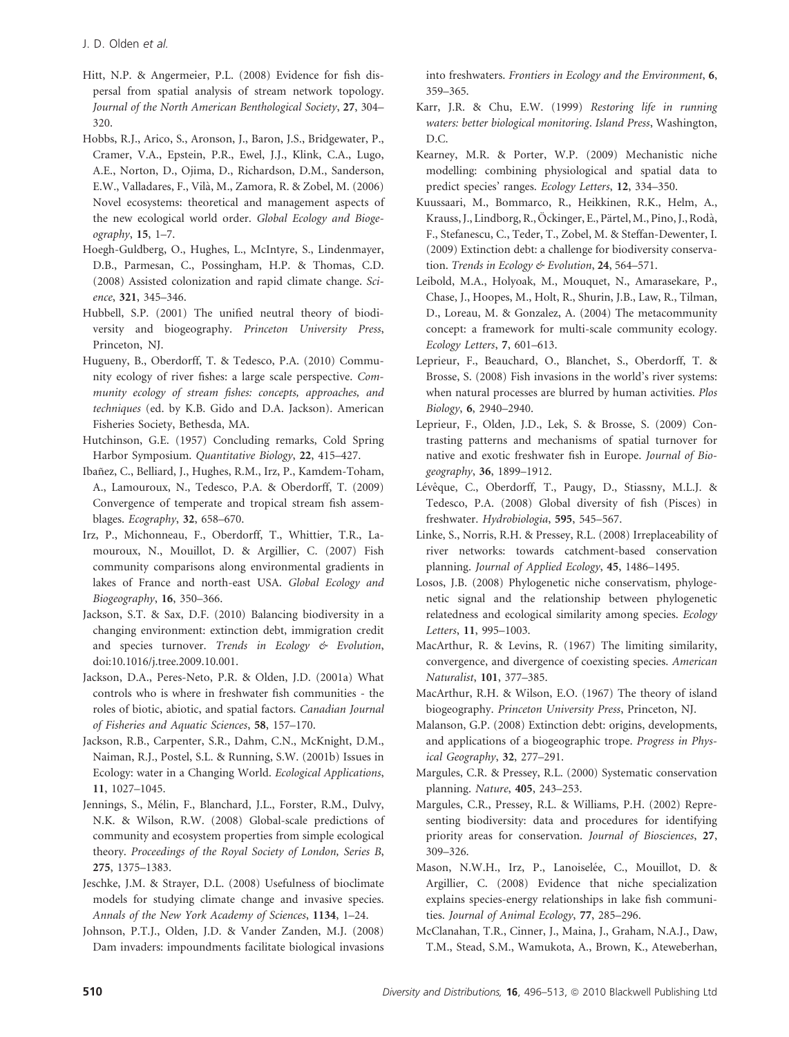- Hitt, N.P. & Angermeier, P.L. (2008) Evidence for fish dispersal from spatial analysis of stream network topology. Journal of the North American Benthological Society, 27, 304– 320.
- Hobbs, R.J., Arico, S., Aronson, J., Baron, J.S., Bridgewater, P., Cramer, V.A., Epstein, P.R., Ewel, J.J., Klink, C.A., Lugo, A.E., Norton, D., Ojima, D., Richardson, D.M., Sanderson, E.W., Valladares, F., Vila`, M., Zamora, R. & Zobel, M. (2006) Novel ecosystems: theoretical and management aspects of the new ecological world order. Global Ecology and Biogeography, 15, 1–7.
- Hoegh-Guldberg, O., Hughes, L., McIntyre, S., Lindenmayer, D.B., Parmesan, C., Possingham, H.P. & Thomas, C.D. (2008) Assisted colonization and rapid climate change. Science, 321, 345–346.
- Hubbell, S.P. (2001) The unified neutral theory of biodiversity and biogeography. Princeton University Press, Princeton, NJ.
- Hugueny, B., Oberdorff, T. & Tedesco, P.A. (2010) Community ecology of river fishes: a large scale perspective. Community ecology of stream fishes: concepts, approaches, and techniques (ed. by K.B. Gido and D.A. Jackson). American Fisheries Society, Bethesda, MA.
- Hutchinson, G.E. (1957) Concluding remarks, Cold Spring Harbor Symposium. Quantitative Biology, 22, 415–427.
- Ibañez, C., Belliard, J., Hughes, R.M., Irz, P., Kamdem-Toham, A., Lamouroux, N., Tedesco, P.A. & Oberdorff, T. (2009) Convergence of temperate and tropical stream fish assemblages. Ecography, 32, 658–670.
- Irz, P., Michonneau, F., Oberdorff, T., Whittier, T.R., Lamouroux, N., Mouillot, D. & Argillier, C. (2007) Fish community comparisons along environmental gradients in lakes of France and north-east USA. Global Ecology and Biogeography, 16, 350–366.
- Jackson, S.T. & Sax, D.F. (2010) Balancing biodiversity in a changing environment: extinction debt, immigration credit and species turnover. Trends in Ecology & Evolution, doi:10.1016/j.tree.2009.10.001.
- Jackson, D.A., Peres-Neto, P.R. & Olden, J.D. (2001a) What controls who is where in freshwater fish communities - the roles of biotic, abiotic, and spatial factors. Canadian Journal of Fisheries and Aquatic Sciences, 58, 157–170.
- Jackson, R.B., Carpenter, S.R., Dahm, C.N., McKnight, D.M., Naiman, R.J., Postel, S.L. & Running, S.W. (2001b) Issues in Ecology: water in a Changing World. Ecological Applications, 11, 1027–1045.
- Jennings, S., Mélin, F., Blanchard, J.L., Forster, R.M., Dulvy, N.K. & Wilson, R.W. (2008) Global-scale predictions of community and ecosystem properties from simple ecological theory. Proceedings of the Royal Society of London, Series B, 275, 1375–1383.
- Jeschke, J.M. & Strayer, D.L. (2008) Usefulness of bioclimate models for studying climate change and invasive species. Annals of the New York Academy of Sciences, 1134, 1–24.
- Johnson, P.T.J., Olden, J.D. & Vander Zanden, M.J. (2008) Dam invaders: impoundments facilitate biological invasions

into freshwaters. Frontiers in Ecology and the Environment, 6, 359–365.

- Karr, J.R. & Chu, E.W. (1999) Restoring life in running waters: better biological monitoring. Island Press, Washington, D.C.
- Kearney, M.R. & Porter, W.P. (2009) Mechanistic niche modelling: combining physiological and spatial data to predict species' ranges. Ecology Letters, 12, 334–350.
- Kuussaari, M., Bommarco, R., Heikkinen, R.K., Helm, A., Krauss, J., Lindborg, R., Öckinger, E., Pärtel, M., Pino, J., Rodà, F., Stefanescu, C., Teder, T., Zobel, M. & Steffan-Dewenter, I. (2009) Extinction debt: a challenge for biodiversity conservation. Trends in Ecology & Evolution, 24, 564-571.
- Leibold, M.A., Holyoak, M., Mouquet, N., Amarasekare, P., Chase, J., Hoopes, M., Holt, R., Shurin, J.B., Law, R., Tilman, D., Loreau, M. & Gonzalez, A. (2004) The metacommunity concept: a framework for multi-scale community ecology. Ecology Letters, 7, 601–613.
- Leprieur, F., Beauchard, O., Blanchet, S., Oberdorff, T. & Brosse, S. (2008) Fish invasions in the world's river systems: when natural processes are blurred by human activities. Plos Biology, 6, 2940–2940.
- Leprieur, F., Olden, J.D., Lek, S. & Brosse, S. (2009) Contrasting patterns and mechanisms of spatial turnover for native and exotic freshwater fish in Europe. Journal of Biogeography, 36, 1899–1912.
- Lévêque, C., Oberdorff, T., Paugy, D., Stiassny, M.L.J. & Tedesco, P.A. (2008) Global diversity of fish (Pisces) in freshwater. Hydrobiologia, 595, 545–567.
- Linke, S., Norris, R.H. & Pressey, R.L. (2008) Irreplaceability of river networks: towards catchment-based conservation planning. Journal of Applied Ecology, 45, 1486–1495.
- Losos, J.B. (2008) Phylogenetic niche conservatism, phylogenetic signal and the relationship between phylogenetic relatedness and ecological similarity among species. Ecology Letters, 11, 995–1003.
- MacArthur, R. & Levins, R. (1967) The limiting similarity, convergence, and divergence of coexisting species. American Naturalist, 101, 377–385.
- MacArthur, R.H. & Wilson, E.O. (1967) The theory of island biogeography. Princeton University Press, Princeton, NJ.
- Malanson, G.P. (2008) Extinction debt: origins, developments, and applications of a biogeographic trope. Progress in Physical Geography, 32, 277–291.
- Margules, C.R. & Pressey, R.L. (2000) Systematic conservation planning. Nature, 405, 243–253.
- Margules, C.R., Pressey, R.L. & Williams, P.H. (2002) Representing biodiversity: data and procedures for identifying priority areas for conservation. Journal of Biosciences, 27, 309–326.
- Mason, N.W.H., Irz, P., Lanoiselée, C., Mouillot, D. & Argillier, C. (2008) Evidence that niche specialization explains species-energy relationships in lake fish communities. Journal of Animal Ecology, 77, 285–296.
- McClanahan, T.R., Cinner, J., Maina, J., Graham, N.A.J., Daw, T.M., Stead, S.M., Wamukota, A., Brown, K., Ateweberhan,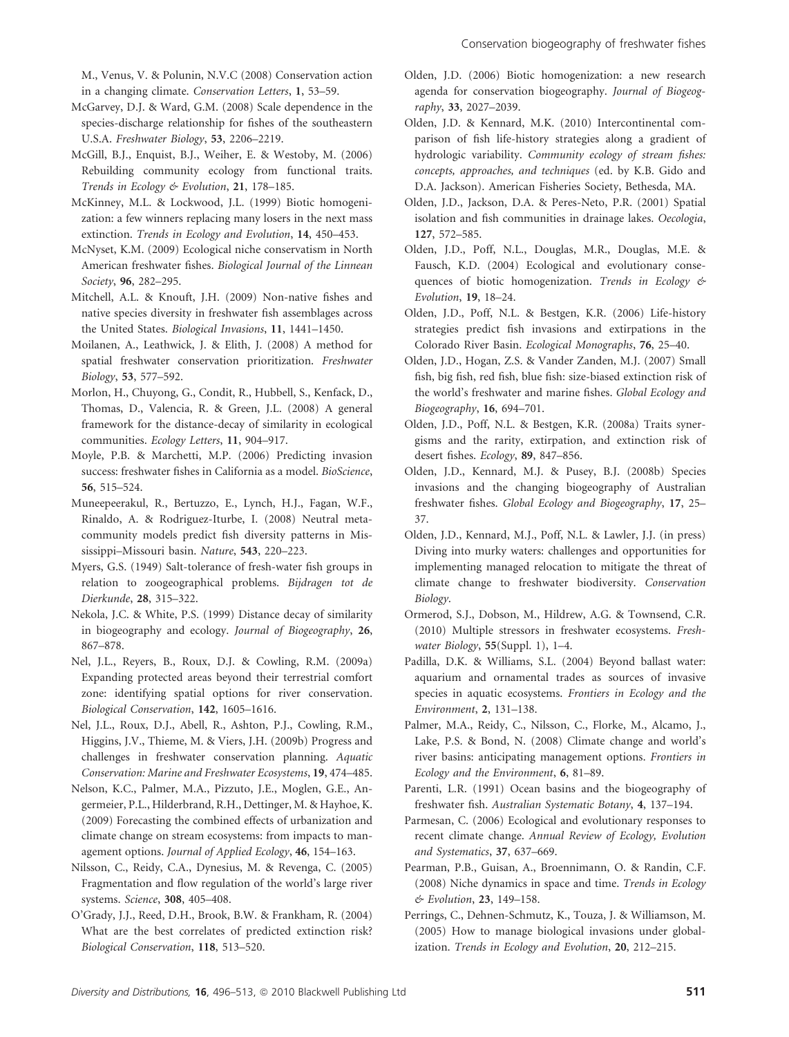M., Venus, V. & Polunin, N.V.C (2008) Conservation action in a changing climate. Conservation Letters, 1, 53–59.

- McGarvey, D.J. & Ward, G.M. (2008) Scale dependence in the species-discharge relationship for fishes of the southeastern U.S.A. Freshwater Biology, 53, 2206–2219.
- McGill, B.J., Enquist, B.J., Weiher, E. & Westoby, M. (2006) Rebuilding community ecology from functional traits. Trends in Ecology & Evolution, 21, 178–185.
- McKinney, M.L. & Lockwood, J.L. (1999) Biotic homogenization: a few winners replacing many losers in the next mass extinction. Trends in Ecology and Evolution, 14, 450–453.
- McNyset, K.M. (2009) Ecological niche conservatism in North American freshwater fishes. Biological Journal of the Linnean Society, 96, 282–295.
- Mitchell, A.L. & Knouft, J.H. (2009) Non-native fishes and native species diversity in freshwater fish assemblages across the United States. Biological Invasions, 11, 1441–1450.
- Moilanen, A., Leathwick, J. & Elith, J. (2008) A method for spatial freshwater conservation prioritization. Freshwater Biology, 53, 577–592.
- Morlon, H., Chuyong, G., Condit, R., Hubbell, S., Kenfack, D., Thomas, D., Valencia, R. & Green, J.L. (2008) A general framework for the distance-decay of similarity in ecological communities. Ecology Letters, 11, 904–917.
- Moyle, P.B. & Marchetti, M.P. (2006) Predicting invasion success: freshwater fishes in California as a model. BioScience, 56, 515–524.
- Muneepeerakul, R., Bertuzzo, E., Lynch, H.J., Fagan, W.F., Rinaldo, A. & Rodriguez-Iturbe, I. (2008) Neutral metacommunity models predict fish diversity patterns in Mississippi–Missouri basin. Nature, 543, 220–223.
- Myers, G.S. (1949) Salt-tolerance of fresh-water fish groups in relation to zoogeographical problems. Bijdragen tot de Dierkunde, 28, 315–322.
- Nekola, J.C. & White, P.S. (1999) Distance decay of similarity in biogeography and ecology. Journal of Biogeography, 26, 867–878.
- Nel, J.L., Reyers, B., Roux, D.J. & Cowling, R.M. (2009a) Expanding protected areas beyond their terrestrial comfort zone: identifying spatial options for river conservation. Biological Conservation, 142, 1605–1616.
- Nel, J.L., Roux, D.J., Abell, R., Ashton, P.J., Cowling, R.M., Higgins, J.V., Thieme, M. & Viers, J.H. (2009b) Progress and challenges in freshwater conservation planning. Aquatic Conservation: Marine and Freshwater Ecosystems, 19, 474–485.
- Nelson, K.C., Palmer, M.A., Pizzuto, J.E., Moglen, G.E., Angermeier, P.L., Hilderbrand, R.H., Dettinger, M. & Hayhoe, K. (2009) Forecasting the combined effects of urbanization and climate change on stream ecosystems: from impacts to management options. Journal of Applied Ecology, 46, 154–163.
- Nilsson, C., Reidy, C.A., Dynesius, M. & Revenga, C. (2005) Fragmentation and flow regulation of the world's large river systems. Science, 308, 405–408.
- O'Grady, J.J., Reed, D.H., Brook, B.W. & Frankham, R. (2004) What are the best correlates of predicted extinction risk? Biological Conservation, 118, 513–520.
- Olden, J.D. (2006) Biotic homogenization: a new research agenda for conservation biogeography. Journal of Biogeography, 33, 2027–2039.
- Olden, J.D. & Kennard, M.K. (2010) Intercontinental comparison of fish life-history strategies along a gradient of hydrologic variability. Community ecology of stream fishes: concepts, approaches, and techniques (ed. by K.B. Gido and D.A. Jackson). American Fisheries Society, Bethesda, MA.
- Olden, J.D., Jackson, D.A. & Peres-Neto, P.R. (2001) Spatial isolation and fish communities in drainage lakes. Oecologia, 127, 572–585.
- Olden, J.D., Poff, N.L., Douglas, M.R., Douglas, M.E. & Fausch, K.D. (2004) Ecological and evolutionary consequences of biotic homogenization. Trends in Ecology & Evolution, 19, 18–24.
- Olden, J.D., Poff, N.L. & Bestgen, K.R. (2006) Life-history strategies predict fish invasions and extirpations in the Colorado River Basin. Ecological Monographs, 76, 25–40.
- Olden, J.D., Hogan, Z.S. & Vander Zanden, M.J. (2007) Small fish, big fish, red fish, blue fish: size-biased extinction risk of the world's freshwater and marine fishes. Global Ecology and Biogeography, 16, 694–701.
- Olden, J.D., Poff, N.L. & Bestgen, K.R. (2008a) Traits synergisms and the rarity, extirpation, and extinction risk of desert fishes. Ecology, 89, 847–856.
- Olden, J.D., Kennard, M.J. & Pusey, B.J. (2008b) Species invasions and the changing biogeography of Australian freshwater fishes. Global Ecology and Biogeography, 17, 25– 37.
- Olden, J.D., Kennard, M.J., Poff, N.L. & Lawler, J.J. (in press) Diving into murky waters: challenges and opportunities for implementing managed relocation to mitigate the threat of climate change to freshwater biodiversity. Conservation Biology.
- Ormerod, S.J., Dobson, M., Hildrew, A.G. & Townsend, C.R. (2010) Multiple stressors in freshwater ecosystems. Freshwater Biology, 55(Suppl. 1), 1–4.
- Padilla, D.K. & Williams, S.L. (2004) Beyond ballast water: aquarium and ornamental trades as sources of invasive species in aquatic ecosystems. Frontiers in Ecology and the Environment, 2, 131–138.
- Palmer, M.A., Reidy, C., Nilsson, C., Florke, M., Alcamo, J., Lake, P.S. & Bond, N. (2008) Climate change and world's river basins: anticipating management options. Frontiers in Ecology and the Environment, 6, 81–89.
- Parenti, L.R. (1991) Ocean basins and the biogeography of freshwater fish. Australian Systematic Botany, 4, 137–194.
- Parmesan, C. (2006) Ecological and evolutionary responses to recent climate change. Annual Review of Ecology, Evolution and Systematics, 37, 637–669.
- Pearman, P.B., Guisan, A., Broennimann, O. & Randin, C.F. (2008) Niche dynamics in space and time. Trends in Ecology & Evolution, 23, 149–158.
- Perrings, C., Dehnen-Schmutz, K., Touza, J. & Williamson, M. (2005) How to manage biological invasions under globalization. Trends in Ecology and Evolution, 20, 212–215.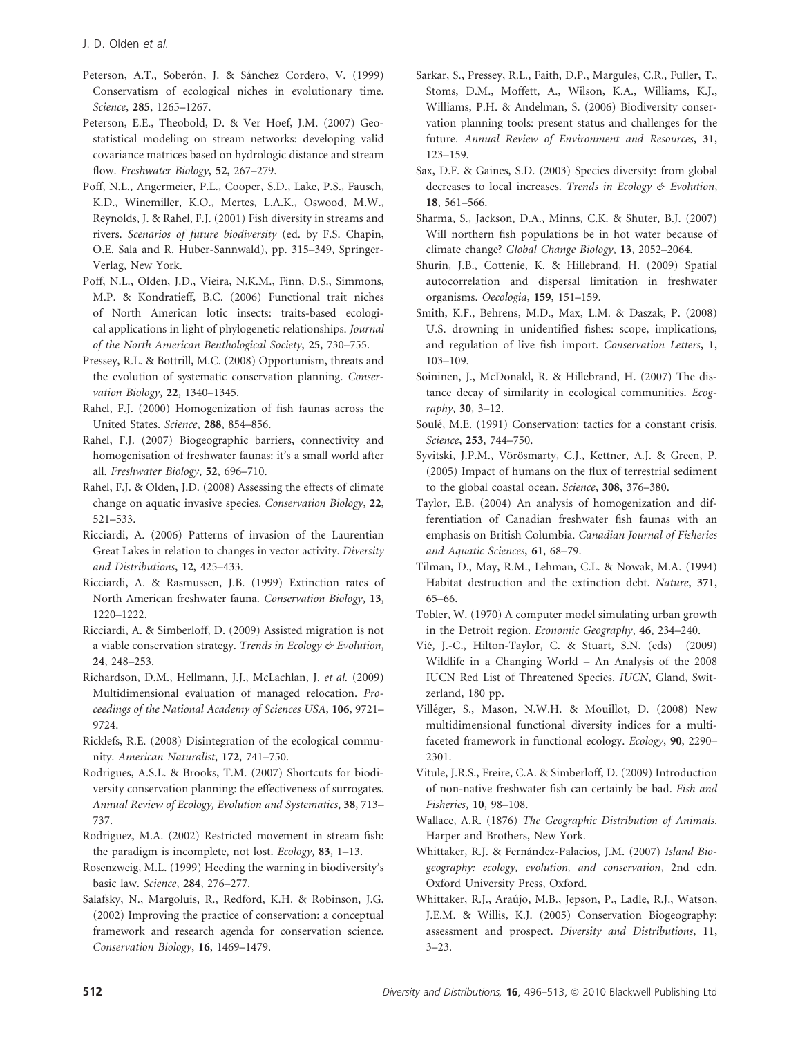- Peterson, A.T., Soberón, J. & Sánchez Cordero, V. (1999) Conservatism of ecological niches in evolutionary time. Science, 285, 1265–1267.
- Peterson, E.E., Theobold, D. & Ver Hoef, J.M. (2007) Geostatistical modeling on stream networks: developing valid covariance matrices based on hydrologic distance and stream flow. Freshwater Biology, 52, 267–279.
- Poff, N.L., Angermeier, P.L., Cooper, S.D., Lake, P.S., Fausch, K.D., Winemiller, K.O., Mertes, L.A.K., Oswood, M.W., Reynolds, J. & Rahel, F.J. (2001) Fish diversity in streams and rivers. Scenarios of future biodiversity (ed. by F.S. Chapin, O.E. Sala and R. Huber-Sannwald), pp. 315–349, Springer-Verlag, New York.
- Poff, N.L., Olden, J.D., Vieira, N.K.M., Finn, D.S., Simmons, M.P. & Kondratieff, B.C. (2006) Functional trait niches of North American lotic insects: traits-based ecological applications in light of phylogenetic relationships. Journal of the North American Benthological Society, 25, 730–755.
- Pressey, R.L. & Bottrill, M.C. (2008) Opportunism, threats and the evolution of systematic conservation planning. Conservation Biology, 22, 1340–1345.
- Rahel, F.J. (2000) Homogenization of fish faunas across the United States. Science, 288, 854–856.
- Rahel, F.J. (2007) Biogeographic barriers, connectivity and homogenisation of freshwater faunas: it's a small world after all. Freshwater Biology, 52, 696–710.
- Rahel, F.J. & Olden, J.D. (2008) Assessing the effects of climate change on aquatic invasive species. Conservation Biology, 22, 521–533.
- Ricciardi, A. (2006) Patterns of invasion of the Laurentian Great Lakes in relation to changes in vector activity. Diversity and Distributions, 12, 425–433.
- Ricciardi, A. & Rasmussen, J.B. (1999) Extinction rates of North American freshwater fauna. Conservation Biology, 13, 1220–1222.
- Ricciardi, A. & Simberloff, D. (2009) Assisted migration is not a viable conservation strategy. Trends in Ecology & Evolution, 24, 248–253.
- Richardson, D.M., Hellmann, J.J., McLachlan, J. et al. (2009) Multidimensional evaluation of managed relocation. Proceedings of the National Academy of Sciences USA, 106, 9721– 9724.
- Ricklefs, R.E. (2008) Disintegration of the ecological community. American Naturalist, 172, 741–750.
- Rodrigues, A.S.L. & Brooks, T.M. (2007) Shortcuts for biodiversity conservation planning: the effectiveness of surrogates. Annual Review of Ecology, Evolution and Systematics, 38, 713– 737.
- Rodriguez, M.A. (2002) Restricted movement in stream fish: the paradigm is incomplete, not lost. Ecology, 83, 1–13.
- Rosenzweig, M.L. (1999) Heeding the warning in biodiversity's basic law. Science, 284, 276–277.
- Salafsky, N., Margoluis, R., Redford, K.H. & Robinson, J.G. (2002) Improving the practice of conservation: a conceptual framework and research agenda for conservation science. Conservation Biology, 16, 1469–1479.
- Sarkar, S., Pressey, R.L., Faith, D.P., Margules, C.R., Fuller, T., Stoms, D.M., Moffett, A., Wilson, K.A., Williams, K.J., Williams, P.H. & Andelman, S. (2006) Biodiversity conservation planning tools: present status and challenges for the future. Annual Review of Environment and Resources, 31, 123–159.
- Sax, D.F. & Gaines, S.D. (2003) Species diversity: from global decreases to local increases. Trends in Ecology & Evolution, 18, 561–566.
- Sharma, S., Jackson, D.A., Minns, C.K. & Shuter, B.J. (2007) Will northern fish populations be in hot water because of climate change? Global Change Biology, 13, 2052–2064.
- Shurin, J.B., Cottenie, K. & Hillebrand, H. (2009) Spatial autocorrelation and dispersal limitation in freshwater organisms. Oecologia, 159, 151–159.
- Smith, K.F., Behrens, M.D., Max, L.M. & Daszak, P. (2008) U.S. drowning in unidentified fishes: scope, implications, and regulation of live fish import. Conservation Letters, 1, 103–109.
- Soininen, J., McDonald, R. & Hillebrand, H. (2007) The distance decay of similarity in ecological communities. Ecography, 30, 3–12.
- Soulé, M.E. (1991) Conservation: tactics for a constant crisis. Science, 253, 744–750.
- Syvitski, J.P.M., Vörösmarty, C.J., Kettner, A.J. & Green, P. (2005) Impact of humans on the flux of terrestrial sediment to the global coastal ocean. Science, 308, 376–380.
- Taylor, E.B. (2004) An analysis of homogenization and differentiation of Canadian freshwater fish faunas with an emphasis on British Columbia. Canadian Journal of Fisheries and Aquatic Sciences, 61, 68–79.
- Tilman, D., May, R.M., Lehman, C.L. & Nowak, M.A. (1994) Habitat destruction and the extinction debt. Nature, 371, 65–66.
- Tobler, W. (1970) A computer model simulating urban growth in the Detroit region. Economic Geography, 46, 234–240.
- Vié, J.-C., Hilton-Taylor, C. & Stuart, S.N. (eds) (2009) Wildlife in a Changing World – An Analysis of the 2008 IUCN Red List of Threatened Species. IUCN, Gland, Switzerland, 180 pp.
- Villéger, S., Mason, N.W.H. & Mouillot, D. (2008) New multidimensional functional diversity indices for a multifaceted framework in functional ecology. Ecology, 90, 2290– 2301.
- Vitule, J.R.S., Freire, C.A. & Simberloff, D. (2009) Introduction of non-native freshwater fish can certainly be bad. Fish and Fisheries, 10, 98–108.
- Wallace, A.R. (1876) The Geographic Distribution of Animals. Harper and Brothers, New York.
- Whittaker, R.J. & Fernández-Palacios, J.M. (2007) Island Biogeography: ecology, evolution, and conservation, 2nd edn. Oxford University Press, Oxford.
- Whittaker, R.J., Araújo, M.B., Jepson, P., Ladle, R.J., Watson, J.E.M. & Willis, K.J. (2005) Conservation Biogeography: assessment and prospect. Diversity and Distributions, 11, 3–23.